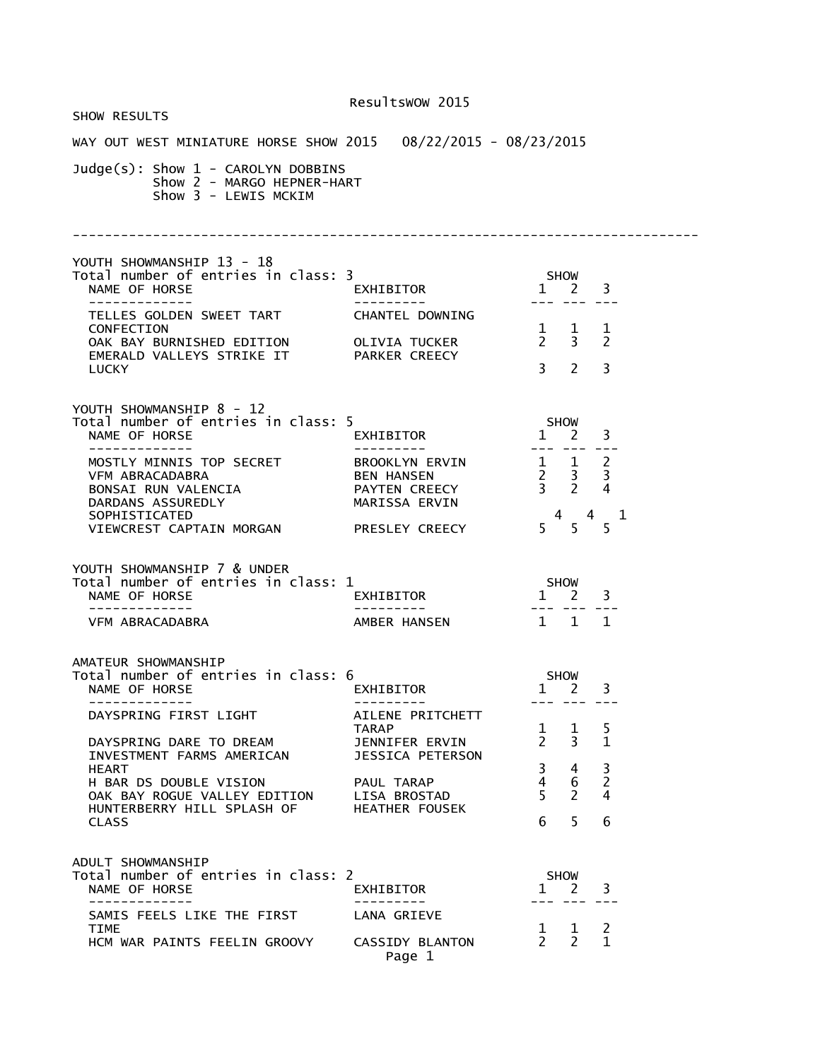|                                                                                                                                                                                                                                                                                             | Resultswow 2015                                    |                                                                                        |                                |
|---------------------------------------------------------------------------------------------------------------------------------------------------------------------------------------------------------------------------------------------------------------------------------------------|----------------------------------------------------|----------------------------------------------------------------------------------------|--------------------------------|
| SHOW RESULTS                                                                                                                                                                                                                                                                                |                                                    |                                                                                        |                                |
| WAY OUT WEST MINIATURE HORSE SHOW 2015  08/22/2015 - 08/23/2015                                                                                                                                                                                                                             |                                                    |                                                                                        |                                |
| Judge(s): Show 1 - CAROLYN DOBBINS<br>Show 2 - MARGO HEPNER-HART<br>Show 3 - LEWIS MCKIM                                                                                                                                                                                                    |                                                    |                                                                                        |                                |
|                                                                                                                                                                                                                                                                                             |                                                    |                                                                                        |                                |
| YOUTH SHOWMANSHIP 13 - 18<br>Total number of entries in class: 3<br>NAME OF HORSE                                                                                                                                                                                                           | EXHIBITOR<br>---------                             | <b>SHOW</b><br>$1 \quad 2 \quad 3$                                                     |                                |
| TELLES GOLDEN SWEET TART                                                                                                                                                                                                                                                                    | CHANTEL DOWNING                                    |                                                                                        |                                |
| CONFECTION<br>OAK BAY BURNISHED EDITION OLIVIA TUCKER<br>EMERALD VALLEYS STRIKE IT PARKER CREECY                                                                                                                                                                                            |                                                    | $\begin{array}{cccc} 1 & 1 & 1 \\ 2 & 3 & 2 \end{array}$<br>$3^{\circ}$<br>$2^{\circ}$ | 3                              |
| <b>LUCKY</b>                                                                                                                                                                                                                                                                                |                                                    |                                                                                        |                                |
| YOUTH SHOWMANSHIP 8 - 12<br>Total number of entries in class: 5<br>NAME OF HORSE<br>-------------                                                                                                                                                                                           | EXHIBITOR<br>--------                              | SHOW<br>$1 \quad 2 \quad 3$<br>--- --- ---                                             |                                |
| DARDANS ASSUREDLY<br>SOPHISTICATED<br>VIEWCREST CAPTAIN MORGAN PRESLEY CREECY                                                                                                                                                                                                               | MARISSA ERVIN                                      | $\begin{array}{cccc}\n & 4 & 4 \\ 5 & 5 & 5\n\end{array}$                              | $\mathbf{1}$                   |
| YOUTH SHOWMANSHIP 7 & UNDER<br>Total number of entries in class: 1<br>NAME OF HORSE<br>--------------                                                                                                                                                                                       | EXHIBITOR<br>---------                             | SHOW<br>$1 \quad 2 \quad 3$<br>--- --- ---                                             |                                |
| VFM ABRACADABRA                                                                                                                                                                                                                                                                             | AMBER HANSEN                                       | $1 \quad 1 \quad 1$                                                                    |                                |
| AMATEUR SHOWMANSHIP<br>Total number of entries in class: 6<br>NAME OF HORSE NAME OF STRAINING STRAINING STRAINING STRAINING STRAINING STRAINING STRAINING STRAINING STRAINING STRAINING STRAINING STRAINING STRAINING STRAINING STRAINING STRAINING STRAINING STRAINING STRAINING STRAINING | <b>EXHIBITOR</b>                                   | <b>SHOW</b><br>$1 \quad 2 \quad 3$                                                     |                                |
| DAYSPRING FIRST LIGHT<br>DAYSPRING DARE TO DREAM                                                                                                                                                                                                                                            | AILENE PRITCHETT<br><b>TARAP</b><br>JENNIFER ERVIN | $1 \quad 1$<br>$2^{\circ}$<br>$\overline{3}$                                           | 5<br>$\mathbf{1}$              |
| INVESTMENT FARMS AMERICAN<br><b>HEART</b><br>H BAR DS DOUBLE VISION                                                                                                                                                                                                                         | JESSICA PETERSON<br>PAUL TARAP                     | $3 \quad 4$<br>$4 \quad$<br>6                                                          | 3<br>$\overline{2}$            |
| OAK BAY ROGUE VALLEY EDITION LISA BROSTAD<br>HUNTERBERRY HILL SPLASH OF<br><b>CLASS</b>                                                                                                                                                                                                     | <b>HEATHER FOUSEK</b>                              | 5 <sup>7</sup><br>$\overline{2}$<br>5<br>6                                             | $\overline{4}$<br>6            |
| ADULT SHOWMANSHIP<br>Total number of entries in class: 2<br>NAME OF HORSE<br>--------------                                                                                                                                                                                                 | EXHIBITOR<br>. <u>.</u>                            | SHOW<br>$1 \quad 2$<br>--- --- ---                                                     | 3                              |
| SAMIS FEELS LIKE THE FIRST                                                                                                                                                                                                                                                                  | LANA GRIEVE                                        |                                                                                        |                                |
| TIME<br>HCM WAR PAINTS FEELIN GROOVY                                                                                                                                                                                                                                                        | CASSIDY BLANTON<br>Page 1                          | $\begin{matrix} 1 & 1 \\ 2 & 2 \end{matrix}$                                           | $\overline{c}$<br>$\mathbf{1}$ |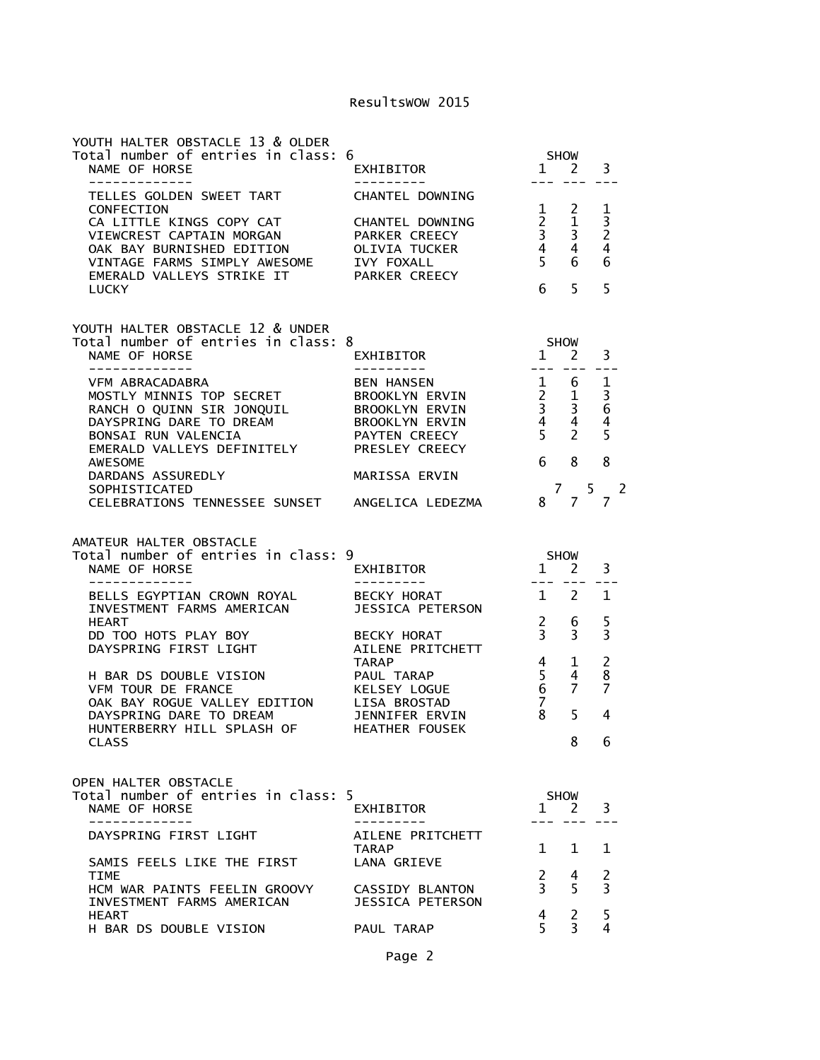| YOUTH HALTER OBSTACLE 13 & OLDER<br>Total number of entries in class: 6<br>NAME OF HORSE<br>-------------                                                                                                                                                                                                                                                                   | ,<br>EXHIBITOR<br>----------                                                                           | SHOW<br>$1 \quad 2$                                                                                                                                                                                                                                                                                                                                                                                                                                                                                                                                                                                                                                      | 3                                                                           |
|-----------------------------------------------------------------------------------------------------------------------------------------------------------------------------------------------------------------------------------------------------------------------------------------------------------------------------------------------------------------------------|--------------------------------------------------------------------------------------------------------|----------------------------------------------------------------------------------------------------------------------------------------------------------------------------------------------------------------------------------------------------------------------------------------------------------------------------------------------------------------------------------------------------------------------------------------------------------------------------------------------------------------------------------------------------------------------------------------------------------------------------------------------------------|-----------------------------------------------------------------------------|
| TELLES GOLDEN SWEET TART<br>CONFECTION<br>CA LITTLE KINGS COPY CAT<br>VIEWCREST CAPTAIN MORGAN<br>OAK BAY BURNISHED EDITION<br>VINTAGE FARMS SIMPLY AWESOME<br>EMERALD VALLEYS STRIKE IT<br><b>LUCKY</b>                                                                                                                                                                    | CHANTEL DOWNING<br>CHANTEL DOWNING<br>PARKER CREECY<br>OLIVIA TUCKER<br>IVY FOXALL<br>PARKER CREECY    | $\begin{array}{ccc} 1 & 2 \\ 2 & 1 \\ 3 & 3 \\ 4 & 4 \\ 5 & 6 \end{array}$<br>6 <sub>5</sub>                                                                                                                                                                                                                                                                                                                                                                                                                                                                                                                                                             | 1<br>$\overline{3}$<br>$\overline{2}$<br>$\overline{4}$<br>6<br>5           |
| YOUTH HALTER OBSTACLE 12 & UNDER<br>Total number of entries in class: 8<br>NAME OF HORSE<br>-------------                                                                                                                                                                                                                                                                   | ;<br>EXHIBITOR                                                                                         | $1$ $1$ $2$ $-$                                                                                                                                                                                                                                                                                                                                                                                                                                                                                                                                                                                                                                          | 3                                                                           |
| VFM ABRACADABRA<br>MOSTLY MINNIS TOP SECRET BROOKLYN ERVIN<br>RANCH O QUINN SIR JONQUIL BROOKLYN ERVIN<br>DAYSPRING DARE TO DREAM BROOKLYN ERVIN<br>BONSAI RUN VALENCIA PAYTEN CREECY<br>EMERALD VALLEYS DEFINITELY PRESLEY CREECY<br>AWESOME<br>DARDANS ASSUREDLY<br>SOPHISTICATED<br>CELEBRATIONS TENNESSEE SUNSET ANGELICA LEDEZMA                                       | BEN HANSEN<br>PAYTEN CREECY<br>MARISSA ERVIN                                                           | $\begin{array}{cccc} 1 & 6 & 1 \\ 2 & 1 & 3 \\ 3 & 3 & 6 \\ 4 & 4 & 4 \end{array}$<br>$5\qquad 2$<br>6<br>8<br>$7\overline{ }$<br>5 <sup>5</sup><br>8 7                                                                                                                                                                                                                                                                                                                                                                                                                                                                                                  | 5<br>8<br>$\overline{2}$<br>7                                               |
|                                                                                                                                                                                                                                                                                                                                                                             |                                                                                                        |                                                                                                                                                                                                                                                                                                                                                                                                                                                                                                                                                                                                                                                          |                                                                             |
| AMATEUR HALTER OBSTACLE<br>Total number of entries in class: 9<br>NAME OF HORSE                                                                                                                                                                                                                                                                                             | )<br>EXHIBITOR                                                                                         | SHOW<br>1<br>2                                                                                                                                                                                                                                                                                                                                                                                                                                                                                                                                                                                                                                           | 3                                                                           |
| ______________<br>BELLS EGYPTIAN CROWN ROYAL BECKY HORAT<br>INVESTMENT FARMS AMERICAN JESSICA PETERSON<br><b>HEART</b><br>DD TOO HOTS PLAY BOY<br>DAYSPRING FIRST LIGHT<br>H BAR DS DOUBLE VISION<br>VFM TOUR DE FRANCE<br>OAK BAY ROGUE VALLEY EDITION LISA BROSTAD<br>DAYSPRING DARE TO DREAM JENNIFER ERVIN<br>HUNTERBERRY HILL SPLASH OF HEATHER FOUSEK<br><b>CLASS</b> | ----------<br>JESSICA PETERSON<br><b>BECKY HORAT</b><br>AILENE PRITCHETT<br><b>TARAP</b><br>PAUL TARAP | $\begin{tabular}{ll} \multicolumn{2}{c} {\textbf{1}} & \multicolumn{2}{c} {\textbf{2}} & \multicolumn{2}{c} {\textbf{3}} & \multicolumn{2}{c} {\textbf{4}} & \multicolumn{2}{c} {\textbf{5}} & \multicolumn{2}{c} {\textbf{6}} & \multicolumn{2}{c} {\textbf{7}} & \multicolumn{2}{c} {\textbf{8}} & \multicolumn{2}{c} {\textbf{9}} & \multicolumn{2}{c} {\textbf{1}} & \multicolumn{2}{c} {\textbf{1}} & \multicolumn{2}{c} {\textbf{1}} & \multicolumn{2}{c} {\textbf{1}} & \multicolumn$<br>$1 \quad 2$<br>$\frac{2}{3}$<br>6<br>$\overline{3}$<br>$4 \quad 1$<br>$\frac{5}{6}$<br>$\overline{4}$<br>$\overline{7}$<br>$\overline{7}$<br>8<br>5<br>8 | 1<br>5<br>$\overline{3}$<br>$\overline{c}$<br>8<br>$\overline{7}$<br>4<br>6 |
| OPEN HALTER OBSTACLE<br>Total number of entries in class: 5<br>NAME OF HORSE<br>- - - - - - - - - - -                                                                                                                                                                                                                                                                       | EXHIBITOR                                                                                              | <b>SHOW</b><br>1 2                                                                                                                                                                                                                                                                                                                                                                                                                                                                                                                                                                                                                                       | 3                                                                           |
| DAYSPRING FIRST LIGHT<br>SAMIS FEELS LIKE THE FIRST<br>TIME<br>HCM WAR PAINTS FEELIN GROOVY                                                                                                                                                                                                                                                                                 | AILENE PRITCHETT<br><b>TARAP</b><br>LANA GRIEVE<br>CASSIDY BLANTON                                     | $\mathbf{1}$<br>$1 \quad 1$<br>2<br>4<br>5<br>$\overline{3}$                                                                                                                                                                                                                                                                                                                                                                                                                                                                                                                                                                                             | 2<br>$\overline{3}$                                                         |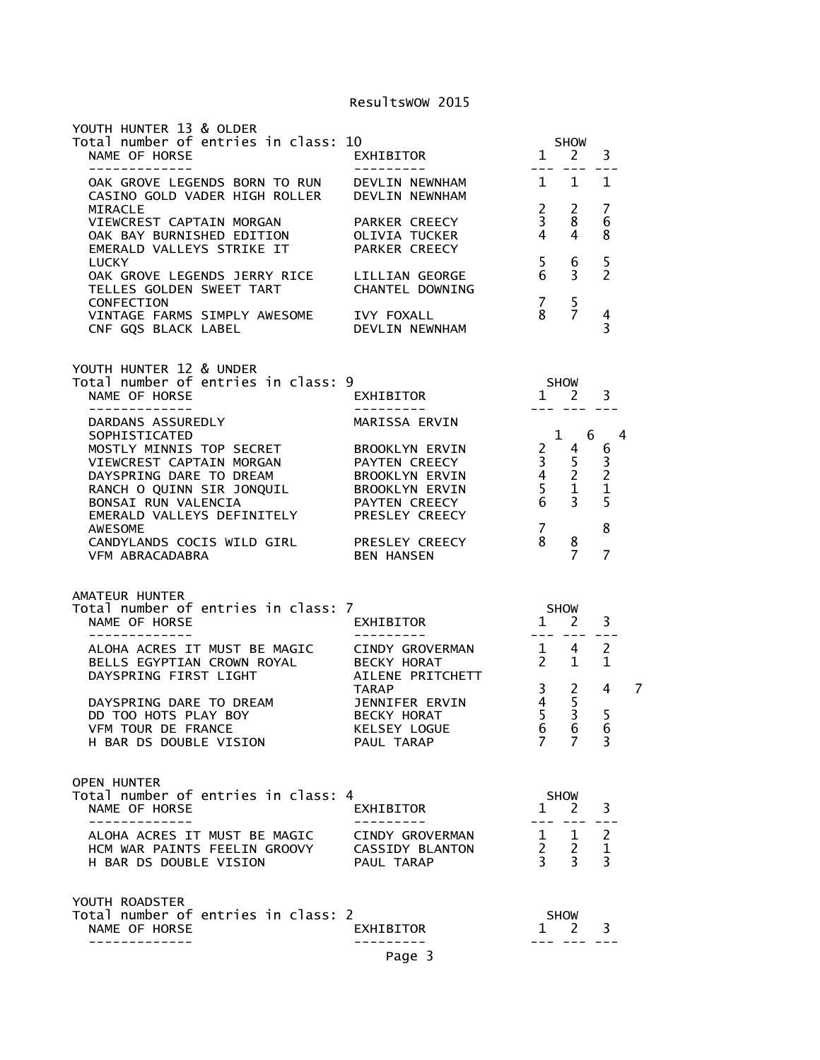| YOUTH HUNTER 13 & OLDER<br>NOUTH HUNTER 15 & OLDER<br>Total number of entries in class: 10<br>NAME OF HORSE<br>-------------                                               | ----------                                             |                                                                | SHOW<br>$1 \quad 2$                                                            | 3                   |   |
|----------------------------------------------------------------------------------------------------------------------------------------------------------------------------|--------------------------------------------------------|----------------------------------------------------------------|--------------------------------------------------------------------------------|---------------------|---|
| OAK GROVE LEGENDS BORN TO RUN DEVLIN NEWNHAM<br>CASINO GOLD VADER HIGH ROLLER DEVLIN NEWNHAM<br>MIRACLE                                                                    |                                                        |                                                                | $1 \quad 1$<br>$2 \quad 2$                                                     | 1<br>7              |   |
| VIEWCREST CAPTAIN MORGAN PARKER CREECY<br>OAK BAY BURNISHED EDITION<br>EMERALD VALLEYS STRIKE IT                                                                           | OLIVIA TUCKER<br>PARKER CREECY                         | 3 <sup>7</sup><br>$4 \quad 4$                                  | 8                                                                              | 6<br>8              |   |
| <b>LUCKY</b><br>OAK GROVE LEGENDS JERRY RICE LILLIAN GEORGE<br>TELLES GOLDEN SWEET TART<br>CONFECTION                                                                      | CHANTEL DOWNING                                        | 5 <sub>1</sub><br>6 <sup>6</sup><br>7 <sub>5</sub>             | 6<br>$\overline{3}$                                                            | 5<br>$\overline{2}$ |   |
| VINTAGE FARMS SIMPLY AWESOME IVY FOXALL<br>CNF GQS BLACK LABEL DEVLIN NEWNHAM                                                                                              |                                                        |                                                                | $\begin{matrix}8\\7\end{matrix}$                                               | 4<br>3              |   |
| YOUTH HUNTER 12 & UNDER<br>Total number of entries in class: 9<br>NAME OF HORSE                                                                                            | EXHIBITOR                                              |                                                                | $1$ SHOW $1$ 3                                                                 |                     |   |
| -------------<br>DARDANS ASSUREDLY                                                                                                                                         | MARISSA ERVIN                                          |                                                                | --- --- ---                                                                    |                     |   |
| SOPHISTICATED<br>MOSTLY MINNIS TOP SECRET BROOKLYN ERVIN<br>VIEWCREST CAPTAIN MORGAN PAYTEN CREECY<br>DAYSPRING DARE TO DREAM BROOKLYN ERVIN<br>EMERALD VALLEYS DEFINITELY | PAYTEN CREECY<br>PRESLEY CREECY                        |                                                                | $1 \quad 6 \quad 4$                                                            |                     |   |
| AWESOME<br>CANDYLANDS COCIS WILD GIRL PRESLEY CREECY<br>VFM ABRACADABRA                                                                                                    | BEN HANSEN                                             | <b>7</b><br>8                                                  | 8<br>$\overline{7}$                                                            | 8<br>$\overline{7}$ |   |
| AMATEUR HUNTER                                                                                                                                                             |                                                        |                                                                |                                                                                |                     |   |
| Total number of entries in class: 7<br>NAME OF HORSE<br>-------------                                                                                                      | <b>SHOW</b><br>EXHIBITOR<br>---------                  |                                                                | $1\quad 2$<br>--- --- ---                                                      | 3                   |   |
| ALOHA ACRES IT MUST BE MAGIC CINDY GROVERMAN<br>BELLS EGYPTIAN CROWN ROYAL BECKY HORAT<br>DAYSPRING FIRST LIGHT         AILENE PRITCHETT                                   |                                                        |                                                                | $1 \quad 4 \quad 2$<br>$2 \quad 1$                                             | 1                   |   |
| DAYSPRING DARE TO DREAM<br>DD TOO HOTS PLAY BOY<br>VFM TOUR DE FRANCE                                                                                                      | TARAP<br>JENNIFER ERVIN<br>BECKY HORAT<br>KELSEY LOGUE | $\frac{5}{4}$<br>5 <sup>7</sup><br>$\mathbf{b}$<br>$7^{\circ}$ | 3 <sub>2</sub><br>5<br>$\overline{3}$<br>$\bullet$                             | 4<br>5<br>O         | 7 |
| H BAR DS DOUBLE VISION                                                                                                                                                     | PAUL TARAP                                             |                                                                | $\overline{7}$                                                                 | 3                   |   |
| <b>OPEN HUNTER</b><br>Total number of entries in class: 4<br>NAME OF HORSE                                                                                                 | EXHIBITOR                                              | $\mathbf{1}$                                                   | SHOW<br>$2 \overline{3}$                                                       |                     |   |
| ALOHA ACRES IT MUST BE MAGIC<br>HCM WAR PAINTS FEELIN GROOVY CASSIDY BLANTON<br>H BAR DS DOUBLE VISION                                                                     | CINDY GROVERMAN<br>PAUL TARAP                          |                                                                | $\begin{array}{ccc} 1 & 1 & 2 \\ 2 & 2 & 1 \end{array}$<br>$3 \quad 3 \quad 3$ | $- -$               |   |
| YOUTH ROADSTER<br>Total number of entries in class: 2<br>NAME OF HORSE                                                                                                     | EXHIBITOR                                              |                                                                | SHOW<br>1 2                                                                    | 3                   |   |
|                                                                                                                                                                            | Page 3                                                 |                                                                |                                                                                |                     |   |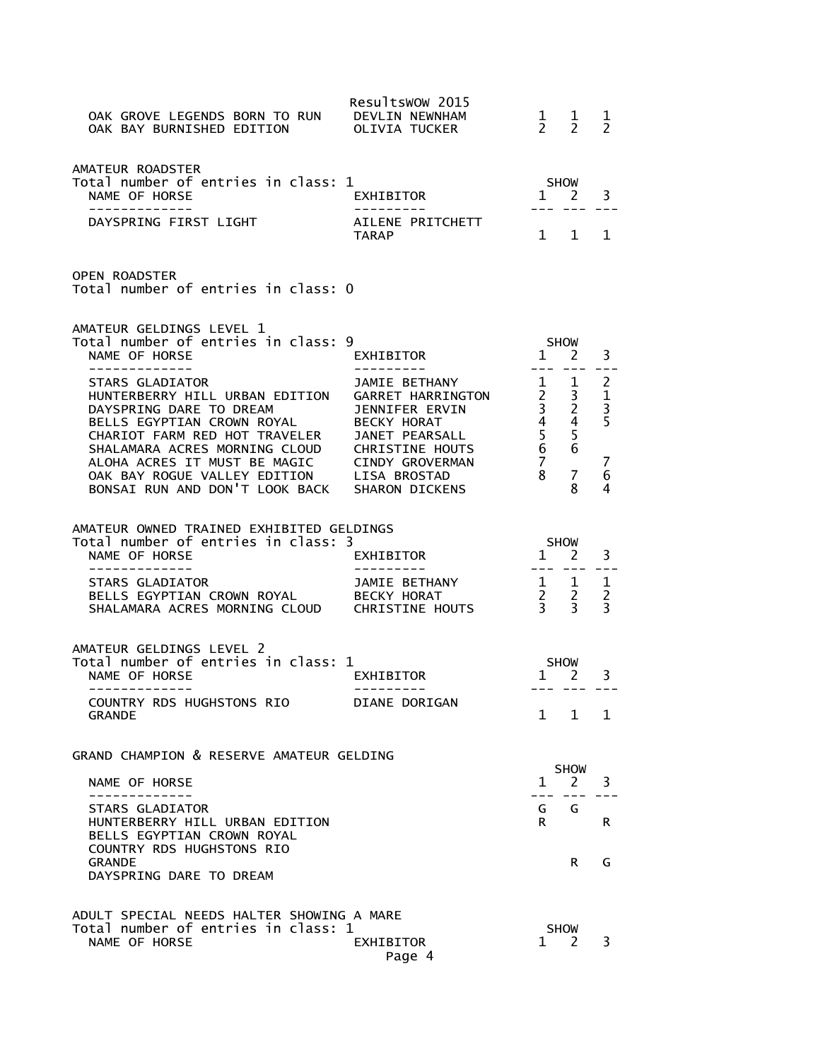| OAK GROVE LEGENDS BORN TO RUN DEVLIN NEWNHAM<br>OAK BAY BURNISHED EDITION OLIVIA TUCKER                                                                                                                                                    | Resultswow 2015     | $1 \quad 1$<br>$2 \quad 2$              |                             | 1<br>$\mathcal{P}$                                                                   |
|--------------------------------------------------------------------------------------------------------------------------------------------------------------------------------------------------------------------------------------------|---------------------|-----------------------------------------|-----------------------------|--------------------------------------------------------------------------------------|
| AMATEUR ROADSTER<br>Total number of entries in class: 1<br>NAME OF HORSE<br>-------------                                                                                                                                                  | EXHIBITOR 1 2       | <b>SHOW</b>                             |                             | 3                                                                                    |
| DAYSPRING FIRST LIGHT AILENE PRITCHETT                                                                                                                                                                                                     | TARAP               | $1 \quad 1$                             |                             | 1                                                                                    |
| <b>OPEN ROADSTER</b><br>Total number of entries in class: 0                                                                                                                                                                                |                     |                                         |                             |                                                                                      |
| AMATEUR GELDINGS LEVEL 1<br>Total number of entries in class: 9<br>NAME OF HORSE                                                                                                                                                           | EXHIBITOR           | <b>SHOW</b><br>$1$ $1$ $2$              |                             | 3                                                                                    |
| NAME BETHANY<br>STARS GLADIATOR<br>STARS GLADIATOR<br>HUNTERBERRY HILL URBAN EDITION GARRET HARRINGTON 2 3<br>DAYSPRING DARE TO DREAM JENNIFER ERVIN 3 2<br>BELLS EGYPTIAN CROWN ROYAL BECKY HORAT 4 4<br>CHARIOT FARM RED HOT TRAVELER JA |                     |                                         |                             | $- -$<br><sup>2</sup><br>$\mathbf{1}$<br>$\overline{\mathbf{3}}$<br>5<br>7<br>6<br>4 |
| AMATEUR OWNED TRAINED EXHIBITED GELDINGS<br>Total number of entries in class: 3<br>NAME OF HORSE<br>--------------                                                                                                                         | EXHIBITOR           | <b>SHOW</b><br>$1 \quad 2$<br>. <i></i> |                             | 3                                                                                    |
| STARS GLADIATOR                                                                                                                                                                                                                            |                     |                                         |                             |                                                                                      |
| AMATEUR GELDINGS LEVEL 2<br>Total number of entries in class: 1<br>NAME OF HORSE<br>-------------                                                                                                                                          | EXHIBITOR           | SHOW<br>1 2 3                           | --- --- ---                 |                                                                                      |
| COUNTRY RDS HUGHSTONS RIO<br><b>GRANDE</b>                                                                                                                                                                                                 | DIANE DORIGAN       | $\mathbf{1}$                            | $\mathbf{1}$                | $\mathbf{1}$                                                                         |
| GRAND CHAMPION & RESERVE AMATEUR GELDING                                                                                                                                                                                                   |                     |                                         | <b>SHOW</b>                 |                                                                                      |
| NAME OF HORSE                                                                                                                                                                                                                              |                     | $\mathbf{1}$<br>$- - -$                 | 2                           | 3                                                                                    |
| <b>STARS GLADIATOR</b><br>HUNTERBERRY HILL URBAN EDITION<br>BELLS EGYPTIAN CROWN ROYAL<br>COUNTRY RDS HUGHSTONS RIO                                                                                                                        |                     | G<br>R.                                 | G                           | R.                                                                                   |
| <b>GRANDE</b><br>DAYSPRING DARE TO DREAM                                                                                                                                                                                                   |                     |                                         | R                           | G                                                                                    |
| ADULT SPECIAL NEEDS HALTER SHOWING A MARE<br>Total number of entries in class: 1<br>NAME OF HORSE                                                                                                                                          | EXHIBITOR<br>Page 4 | 1                                       | <b>SHOW</b><br><sup>2</sup> | 3                                                                                    |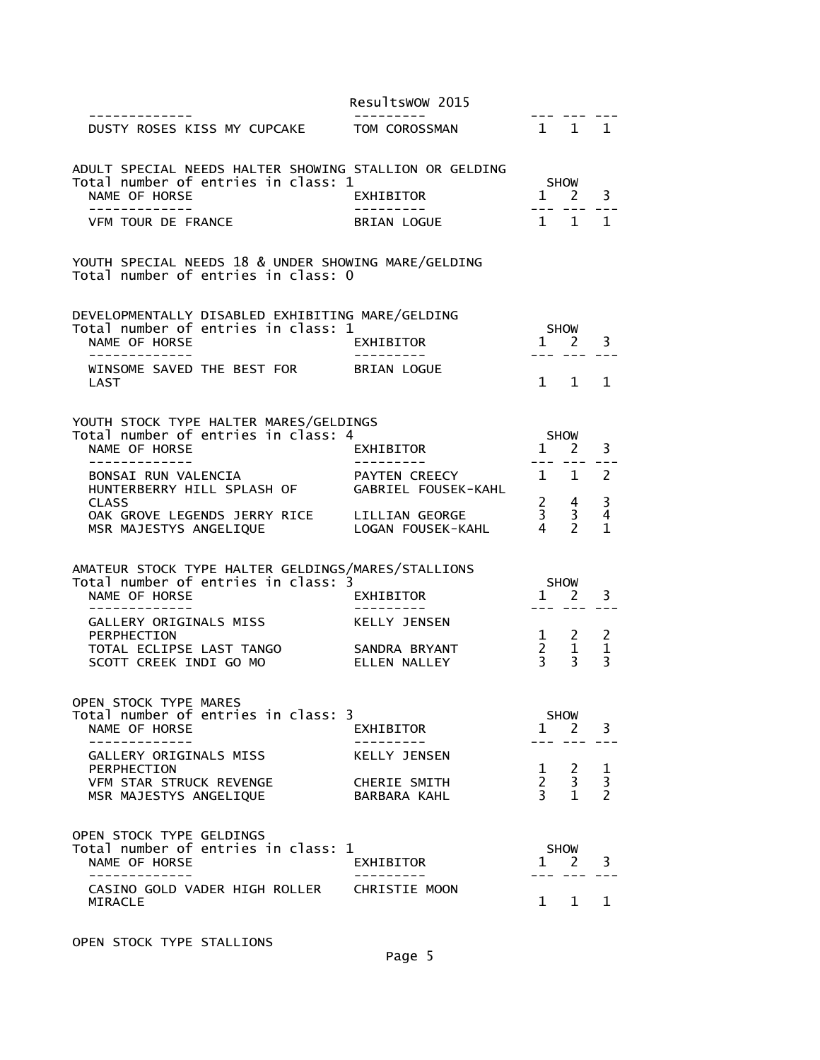|                                                                                                                          | Resultswow 2015               |                                                          |                                                  |                                 |
|--------------------------------------------------------------------------------------------------------------------------|-------------------------------|----------------------------------------------------------|--------------------------------------------------|---------------------------------|
| -----------<br>DUSTY ROSES KISS MY CUPCAKE                                                                               | TOM COROSSMAN                 | 1 1 1                                                    |                                                  |                                 |
| ADULT SPECIAL NEEDS HALTER SHOWING STALLION OR GELDING<br>Total number of entries in class: 1<br>NAME OF HORSE           | EXHIBITOR                     |                                                          | SHOW<br>$1 \quad 2$                              | 3                               |
| -------------<br>VFM TOUR DE FRANCE                                                                                      | ----------<br>BRIAN LOGUE     | --- ---<br>1 1                                           |                                                  | $\mathbf{1}$                    |
| YOUTH SPECIAL NEEDS 18 & UNDER SHOWING MARE/GELDING<br>Total number of entries in class: 0                               |                               |                                                          |                                                  |                                 |
| DEVELOPMENTALLY DISABLED EXHIBITING MARE/GELDING<br>Total number of entries in class: 1<br>NAME OF HORSE<br>------------ | EXHIBITOR                     |                                                          | <b>SHOW</b><br>$1 \quad 2$                       | 3                               |
| WINSOME SAVED THE BEST FOR BRIAN LOGUE<br>LAST                                                                           |                               |                                                          | $1 \quad 1$                                      | $\mathbf{1}$                    |
| YOUTH STOCK TYPE HALTER MARES/GELDINGS<br>Total number of entries in class: 4<br>NAME OF HORSE<br>-------------          | EXHIBITOR                     | $1 \quad 2$                                              | SHOW                                             | 3                               |
| BONSAI RUN VALENCIA<br>HUNTERBERRY HILL SPLASH OF GABRIEL FOUSEK-KAHL                                                    | PAYTEN CREECY                 |                                                          | 1 1                                              | 2                               |
| <b>CLASS</b><br>OAK GROVE LEGENDS JERRY RICE LILLIAN GEORGE<br>MSR MAJESTYS ANGELIQUE LOGAN FOUSEK-KAHL                  |                               | $\begin{array}{ccc} 2 & 4 \\ 3 & 3 \\ 4 & 2 \end{array}$ |                                                  | 3<br>4<br>1                     |
| AMATEUR STOCK TYPE HALTER GELDINGS/MARES/STALLIONS<br>Total number of entries in class: 3<br>NAME OF HORSE               | EXHIBITOR                     |                                                          | SHOW<br>$1 \quad 2$                              | 3                               |
| GALLERY ORIGINALS MISS<br>PERPHECTION                                                                                    | ----------<br>KELLY JENSEN    | $1 \quad 2$                                              |                                                  | 2                               |
| TOTAL ECLIPSE LAST TANGO<br>SCOTT CREEK INDI GO MO                                                                       | SANDRA BRYANT<br>ELLEN NALLEY | $\begin{array}{cc} 2 & 1 \\ 3 & 3 \end{array}$           |                                                  | $\mathbf{1}$<br>3               |
| OPEN STOCK TYPE MARES<br>Total number of entries in class: 3<br>NAME OF HORSE                                            | EXHIBITOR                     | $\mathbf{1}$                                             | <b>SHOW</b><br>$\overline{2}$                    | 3                               |
| ----------<br>GALLERY ORIGINALS MISS                                                                                     | <b>KELLY JENSEN</b>           |                                                          |                                                  |                                 |
| PERPHECTION<br>VFM STAR STRUCK REVENGE<br>MSR MAJESTYS ANGELIQUE                                                         | CHERIE SMITH<br>BARBARA KAHL  | 1<br>$2^{\circ}$<br>$\overline{3}$                       | $\overline{2}$<br>$\overline{3}$<br>$\mathbf{1}$ | $\frac{1}{3}$<br>$\overline{2}$ |
| OPEN STOCK TYPE GELDINGS<br>Total number of entries in class: 1<br>NAME OF HORSE                                         | EXHIBITOR                     | $\mathbf{1}$                                             | SHOW<br><sup>2</sup>                             | 3                               |
| CASINO GOLD VADER HIGH ROLLER<br>MIRACLE                                                                                 | CHRISTIE MOON                 |                                                          | 1 1                                              | 1                               |

OPEN STOCK TYPE STALLIONS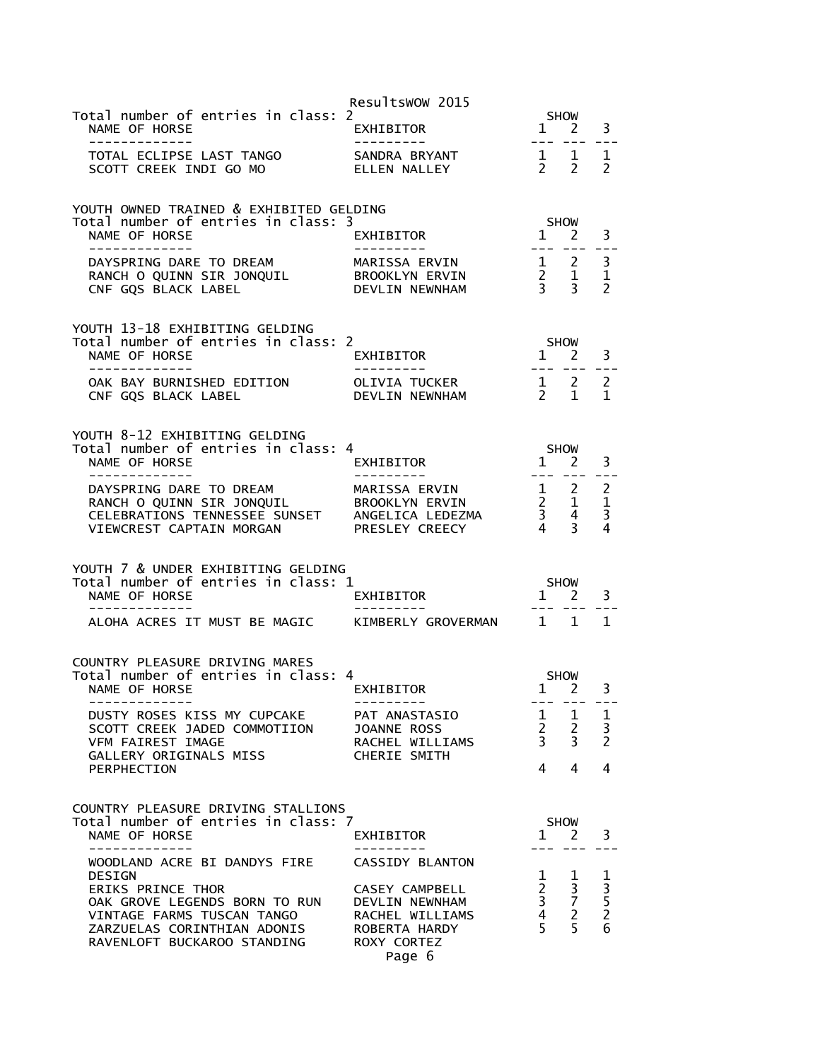|                                                                                                                                                                                                                                       | Resultswow 2015                                                             |                                                                           |                                                                               |                                                      |
|---------------------------------------------------------------------------------------------------------------------------------------------------------------------------------------------------------------------------------------|-----------------------------------------------------------------------------|---------------------------------------------------------------------------|-------------------------------------------------------------------------------|------------------------------------------------------|
| Total number of entries in class: 2<br>NAME OF HORSE<br>--------------                                                                                                                                                                | EXHIBITOR                                                                   | $\frac{1}{1}$                                                             | SHOW<br>$2 \overline{3}$<br>$- - - - - - -$                                   |                                                      |
|                                                                                                                                                                                                                                       |                                                                             |                                                                           |                                                                               |                                                      |
| YOUTH OWNED TRAINED & EXHIBITED GELDING<br>Total number of entries in class: 3<br>NAME OF HORSE<br>--------------                                                                                                                     |                                                                             |                                                                           |                                                                               |                                                      |
| ---------<br>DAYSPRING DARE TO DREAM MARISSA ERVIN 1 2 3<br>RANCH O QUINN SIR JONQUIL BROOKLYN ERVIN 2 1 1<br>CNF GQS BLACK LABEL DEVLIN NEWNHAM 3 3 2                                                                                |                                                                             |                                                                           |                                                                               |                                                      |
| YOUTH 13-18 EXHIBITING GELDING<br>Total number of entries in class: 2<br>NAME OF HORSE                                                                                                                                                |                                                                             |                                                                           |                                                                               |                                                      |
|                                                                                                                                                                                                                                       |                                                                             |                                                                           |                                                                               |                                                      |
| YOUTH 8-12 EXHIBITING GELDING                                                                                                                                                                                                         | <u> Experience</u>                                                          | SHOW<br>1 2<br>--- --- -                                                  |                                                                               | 3                                                    |
| -------------<br>9 DAYSPRING DARE TO DREAM MARISSA ERVIN 1 2 2<br>RANCH O QUINN SIR JONQUIL BROOKLYN ERVIN 2 1 1<br>CELEBRATIONS TENNESSEE SUNSET ANGELICA LEDEZMA 3 4 3<br>VIEWCREST CAPTAIN MORGAN PRESLEY CREECY 4 3 4             |                                                                             |                                                                           |                                                                               |                                                      |
| YOUTH 7 & UNDER EXHIBITING GELDING<br>Total number of entries in class: 1                                                                                                                                                             |                                                                             |                                                                           |                                                                               |                                                      |
|                                                                                                                                                                                                                                       |                                                                             |                                                                           |                                                                               |                                                      |
| COUNTRY PLEASURE DRIVING MARES<br>Total number of entries in class: 4<br>NAME OF HORSE                                                                                                                                                | FRIENT SHOW SHOW<br>EXHIBITOR 12                                            |                                                                           |                                                                               | 3                                                    |
| -------------<br>DUSTY ROSES KISS MY CUPCAKE PAT ANASTASIO<br>SCOTT CREEK JADED COMMOTIION     JOANNE ROSS<br>VFM FAIREST IMAGE               RACHEL WILLIAMS<br>GALLERY ORIGINALS MISS<br>PERPHECTION                                | ---------<br>CHERIE SMITH                                                   | $\begin{array}{ccc} 1 & 1 & 1 \\ 2 & 2 & 3 \\ 3 & 3 & 2 \end{array}$<br>4 | 4                                                                             | ----<br>4                                            |
| COUNTRY PLEASURE DRIVING STALLIONS<br>Total number of entries in class: 7<br>NAME OF HORSE<br>. _ _ _ _ _ _ _ _ _ _ _ _                                                                                                               | EXHIBITOR                                                                   |                                                                           | SHOW<br>$1 \quad 2$                                                           | 3                                                    |
| WOODLAND ACRE BI DANDYS FIRE CASSIDY BLANTON<br><b>DESIGN</b><br><b>ERIKS PRINCE THOR</b><br>OAK GROVE LEGENDS BORN TO RUN DEVLIN NEWNHAM<br>VINTAGE FARMS TUSCAN TANGO<br>ZARZUELAS CORINTHIAN ADONIS<br>RAVENLOFT BUCKAROO STANDING | CASEY CAMPBELL<br>RACHEL WILLIAMS<br>ROBERTA HARDY<br>ROXY CORTEZ<br>Page 6 | $\mathbf{1}$<br>5                                                         | $\mathbf{1}$<br>$\begin{array}{ccc} 2 & 3 \\ 3 & 7 \\ 4 & 2 \end{array}$<br>5 | $\begin{array}{c} 1 \\ 3 \\ 5 \\ 2 \end{array}$<br>6 |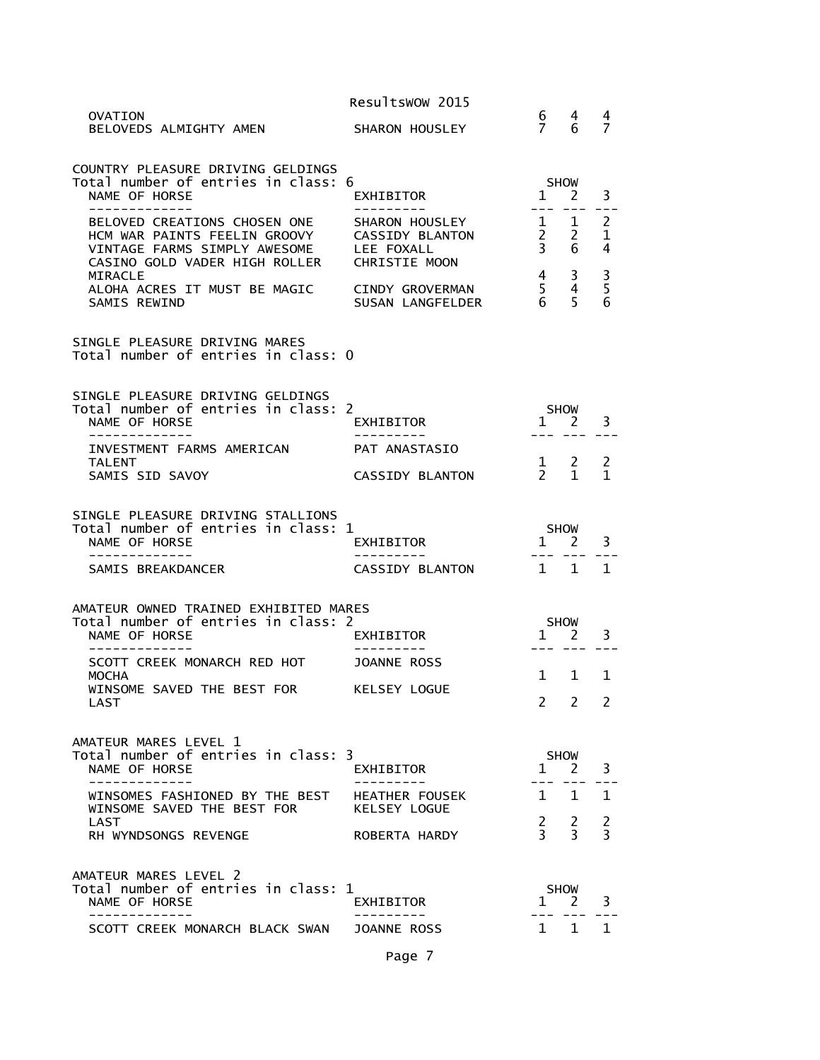|                                                                                                                               | Resultswow 2015                                                         |                                 |                                              |                    |
|-------------------------------------------------------------------------------------------------------------------------------|-------------------------------------------------------------------------|---------------------------------|----------------------------------------------|--------------------|
| OVATION<br>BELOVEDS ALMIGHTY AMEN                                                                                             | SHARON HOUSLEY                                                          | 6.<br>7                         | 4<br>6                                       | 4<br>7             |
| COUNTRY PLEASURE DRIVING GELDINGS<br>Total number of entries in class: 6<br>NAME OF HORSE                                     | EXHIBITOR<br>----------                                                 | $\mathbf{1}$                    | <b>SHOW</b><br>2<br>---                      | 3                  |
| BELOVED CREATIONS CHOSEN ONE<br>HCM WAR PAINTS FEELIN GROOVY<br>VINTAGE FARMS SIMPLY AWESOME<br>CASINO GOLD VADER HIGH ROLLER | SHARON HOUSLEY<br>CASSIDY BLANTON<br>LEE FOXALL<br><b>CHRISTIE MOON</b> | 1<br>$2^{\circ}$<br>$3^{\circ}$ | $\mathbf{1}$<br>$\overline{2}$<br>6          | 2<br>1<br>4        |
| MIRACLE<br>ALOHA ACRES IT MUST BE MAGIC<br>SAMIS REWIND                                                                       | CINDY GROVERMAN<br>SUSAN LANGFELDER                                     | $\overline{4}$<br>5<br>6.       | 3<br>4<br>5                                  | $\frac{3}{5}$<br>6 |
| SINGLE PLEASURE DRIVING MARES<br>Total number of entries in class: 0                                                          |                                                                         |                                 |                                              |                    |
| SINGLE PLEASURE DRIVING GELDINGS<br>Total number of entries in class: 2<br>NAME OF HORSE                                      | EXHIBITOR                                                               |                                 | SHOW<br>$1 \quad 2$                          | 3                  |
| -----------<br>INVESTMENT FARMS AMERICAN                                                                                      | PAT ANASTASIO                                                           |                                 |                                              |                    |
| <b>TALENT</b><br>SAMIS SID SAVOY                                                                                              | <b>CASSIDY BLANTON</b>                                                  |                                 | $\begin{matrix} 1 & 2 \\ 2 & 1 \end{matrix}$ | 2<br>$\mathbf{1}$  |
| SINGLE PLEASURE DRIVING STALLIONS<br>Total number of entries in class: 1<br>NAME OF HORSE                                     | EXHIBITOR                                                               |                                 | <b>SHOW</b><br>$1 \quad 2$                   | 3                  |
| -------------<br>SAMIS BREAKDANCER                                                                                            | ----------<br>CASSIDY BLANTON                                           | $1\quad1$                       | $- - -$                                      | $\mathbf{1}$       |
| AMATEUR OWNED TRAINED EXHIBITED MARES<br>Total number of entries in class: 2<br>NAME OF HORSE                                 | EXHIBITOR                                                               |                                 | <b>SHOW</b><br>$1 \quad 2$                   | 3                  |
| SCOTT CREEK MONARCH RED HOT<br><b>MOCHA</b>                                                                                   | JOANNE ROSS                                                             | $\mathbf{1}$                    | $\mathbf{1}$                                 | $\mathbf 1$        |
| WINSOME SAVED THE BEST FOR<br>LAST                                                                                            | KELSEY LOGUE                                                            | 2                               | 2                                            | $\mathcal{L}$      |
| AMATEUR MARES LEVEL 1<br>Total number of entries in class: 3<br>NAME OF HORSE                                                 | EXHIBITOR                                                               | $\mathbf{1}$                    | <b>SHOW</b><br><sup>2</sup>                  | 3                  |
| ----------<br>WINSOMES FASHIONED BY THE BEST                                                                                  | HEATHER FOUSEK                                                          | $\mathbf{1}$                    | 1                                            | 1                  |
| WINSOME SAVED THE BEST FOR<br><b>LAST</b><br>RH WYNDSONGS REVENGE                                                             | KELSEY LOGUE<br>ROBERTA HARDY                                           | $\frac{2}{3}$                   | 2<br>3                                       | 2<br>3             |
| AMATEUR MARES LEVEL 2<br>Total number of entries in class: 1<br>NAME OF HORSE                                                 | EXHIBITOR                                                               | $\mathbf{1}$                    | <b>SHOW</b><br>2                             | 3                  |
| SCOTT CREEK MONARCH BLACK SWAN                                                                                                | <b>JOANNE ROSS</b>                                                      | 1 1                             |                                              | 1                  |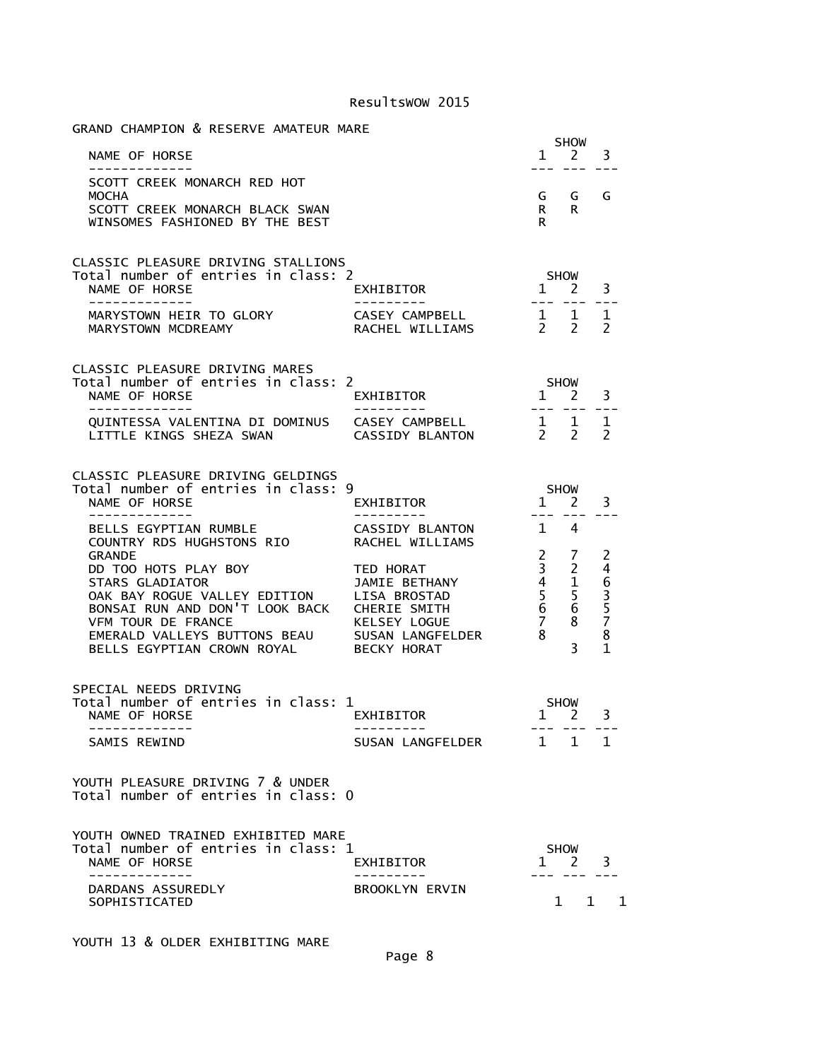| GRAND CHAMPION & RESERVE AMATEUR MARE                                                                                                                                                                                                                                                                                    |                                                             |                                                             |
|--------------------------------------------------------------------------------------------------------------------------------------------------------------------------------------------------------------------------------------------------------------------------------------------------------------------------|-------------------------------------------------------------|-------------------------------------------------------------|
| NAME OF HORSE<br>-------------                                                                                                                                                                                                                                                                                           |                                                             | <b>SHOW</b><br>$1 \quad 2 \quad 3$<br>--- --- ---           |
| SCOTT CREEK MONARCH RED HOT<br>MOCHA<br>SCOTT CREEK MONARCH BLACK SWAN<br>WINSOMES FASHIONED BY THE BEST                                                                                                                                                                                                                 |                                                             | G G G<br>R R<br>R                                           |
| CLASSIC PLEASURE DRIVING STALLIONS<br>Total number of entries in class: 2<br>NAME OF HORSE                                                                                                                                                                                                                               | <b>EXHIBITOR</b><br>_________                               | <b>SHOW</b><br>$1 \t2 \t3$<br>---- --- ---                  |
| MARYSTOWN HEIR TO GLORY<br>MARYSTOWN MCDREAMY                                                                                                                                                                                                                                                                            |                                                             |                                                             |
| <b>CLASSIC PLEASURE DRIVING MARES</b><br>Total number of entries in class: 2<br>NAME OF HORSE EXHIBITOR<br>-------------                                                                                                                                                                                                 | ----------                                                  | $5 \text{HOW}$<br>1 2 3                                     |
| QUINTESSA VALENTINA DI DOMINUS CASEY CAMPBELL $\begin{array}{cccc} 1 & 1 & 1 \\ 1 & 1 & 2 \end{array}$ LITTLE KINGS SHEZA SWAN CASSIDY BLANTON $\begin{array}{cccc} 2 & 2 & 2 \end{array}$                                                                                                                               |                                                             |                                                             |
| CLASSIC PLEASURE DRIVING GELDINGS<br>Total number of entries in class: 9<br>NAME OF HORSE<br>-------------                                                                                                                                                                                                               | '<br>EXHIBITOR                                              | $\frac{\mathsf{SHOW}}{2}$<br>$1 \quad 2$<br>3<br>--- --- -- |
| BELLS EGYPTIAN RUMBLE<br>COUNTRY RDS HUGHSTONS RIO RACHEL WILLIAMS<br>GRANDE<br>DD TOO HOTS PLAY BOY<br>STARS GLADIATOR<br>OAK BAY ROGUE VALLEY EDITION<br>DD TOO HOTS PLAY BOY<br>STARS GLADIATOR<br>OAK BAY ROGUE VALLEY EDITION<br>USA BROSTAD<br>STARS ON SARD DON'T LOOK BACK<br>CHERIE SMITH 6 6 5<br>STAR TOUR DE | CASSIDY BLANTON 14                                          |                                                             |
| SPECIAL NEEDS DRIVING<br>Total number of entries in class: 1<br>NAME OF HORSE<br>.<br>SAMIS REWIND                                                                                                                                                                                                                       | ass: 1<br>EXHIBITOR<br>----------<br>SUSAN LANGFELDER 1 1 1 | SHOW<br>$1 \quad 2$<br>3<br>--- --- ---                     |
| YOUTH PLEASURE DRIVING 7 & UNDER<br>Total number of entries in class: 0                                                                                                                                                                                                                                                  |                                                             |                                                             |
| YOUTH OWNED TRAINED EXHIBITED MARE<br>Total number of entries in class: 1<br>NAME OF HORSE<br>-----------                                                                                                                                                                                                                | EXHIBITOR                                                   | <b>SHOW</b><br>$1 \quad 2 \quad 3$<br>-- --- ---            |
| DARDANS ASSUREDLY<br>SOPHISTICATED                                                                                                                                                                                                                                                                                       | <b>BROOKLYN ERVIN</b>                                       | $1 \quad 1 \quad 1$                                         |

YOUTH 13 & OLDER EXHIBITING MARE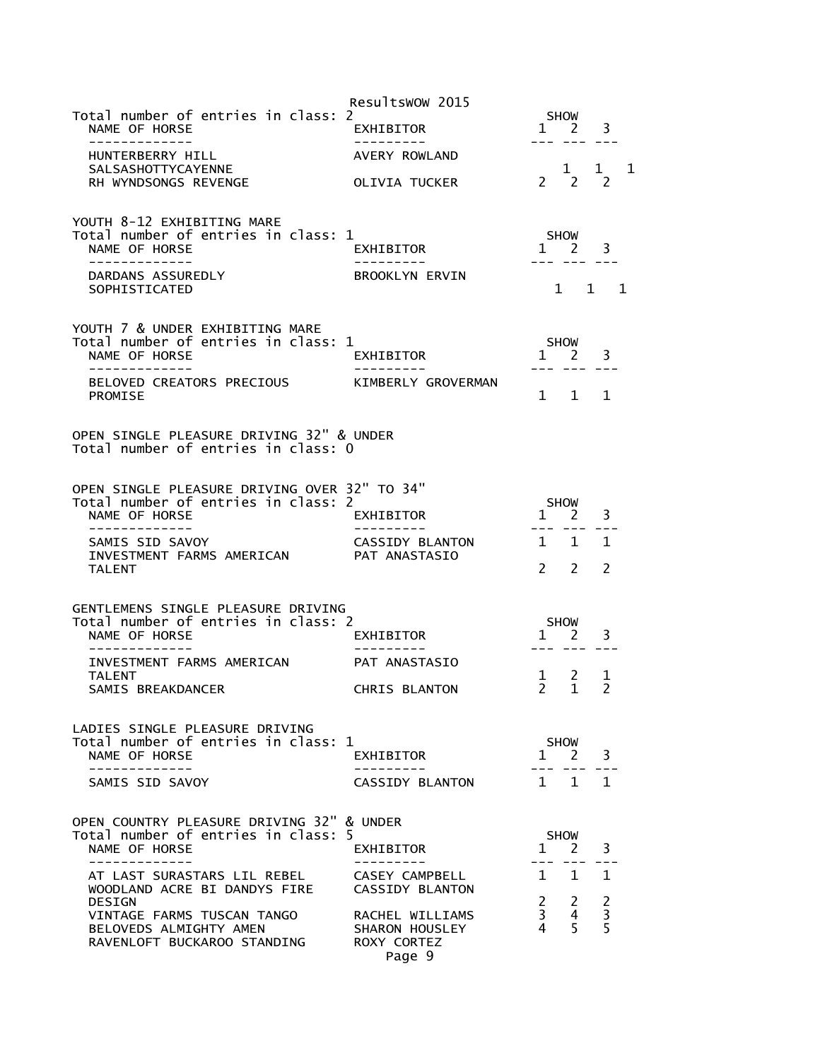|                                                                                 | Resultswow 2015                   |                                  |                     |                      |   |
|---------------------------------------------------------------------------------|-----------------------------------|----------------------------------|---------------------|----------------------|---|
| Total number of entries in class: 2<br>NAME OF HORSE<br>-------------           | <b>EXHIBITOR</b>                  | $\mathbf{1}$                     | SHOW<br>2 3         |                      |   |
| HUNTERBERRY HILL                                                                | AVERY ROWLAND                     |                                  |                     |                      |   |
| <b>SALSASHOTTYCAYENNE</b><br>RH WYNDSONGS REVENGE                               | OLIVIA TUCKER                     |                                  | 1<br>$2 \sqrt{2}$   | 1 1<br>$\mathcal{L}$ |   |
| YOUTH 8-12 EXHIBITING MARE                                                      |                                   |                                  |                     |                      |   |
| Total number of entries in class: 1<br>NAME OF HORSE                            | EXHIBITOR                         |                                  | SHOW<br>$1 \quad 2$ | 3                    |   |
|                                                                                 |                                   |                                  |                     |                      |   |
| DARDANS ASSUREDLY<br>SOPHISTICATED                                              | BROOKLYN ERVIN                    |                                  | 1                   | $\mathbf{1}$         | 1 |
| YOUTH 7 & UNDER EXHIBITING MARE                                                 |                                   |                                  |                     |                      |   |
| Total number of entries in class: 1<br>NAME OF HORSE                            |                                   |                                  | SHOW<br>$1 \quad 2$ |                      |   |
| . _ _ _ _ _ _ _ _ _ _ _ _                                                       | EXHIBITOR<br>---------            |                                  |                     | 3                    |   |
| BELOVED CREATORS PRECIOUS<br>PROMISE                                            | KIMBERLY GROVERMAN                |                                  | $1 \quad 1$         | 1                    |   |
| OPEN SINGLE PLEASURE DRIVING 32" & UNDER<br>Total number of entries in class: 0 |                                   |                                  |                     |                      |   |
| OPEN SINGLE PLEASURE DRIVING OVER 32" TO 34"                                    |                                   |                                  |                     |                      |   |
| Total number of entries in class: 2<br>NAME OF HORSE                            |                                   | $1 \quad$                        | <b>SHOW</b><br>2    |                      |   |
|                                                                                 | EXHIBITOR                         |                                  | --- ---             | 3<br>.               |   |
| SAMIS SID SAVOY<br>INVESTMENT FARMS AMERICAN                                    | CASSIDY BLANTON<br>PAT ANASTASIO  |                                  | $1 \quad 1$         | 1                    |   |
| <b>TALENT</b>                                                                   |                                   | $\overline{2}$                   | $\mathcal{L}$       | $\mathcal{P}$        |   |
| GENTLEMENS SINGLE PLEASURE DRIVING                                              |                                   |                                  |                     |                      |   |
| Total number of entries in class: 2                                             |                                   |                                  | <b>SHOW</b>         |                      |   |
| NAME OF HORSE                                                                   | EXHIBITOR                         |                                  | $1 \quad 2$         | 3                    |   |
| INVESTMENT FARMS AMERICAN<br><b>TALENT</b>                                      | PAT ANASTASIO                     | 1                                | $\sim$ 2            | 1                    |   |
| SAMIS BREAKDANCER                                                               | CHRIS BLANTON                     | $2^{\circ}$                      | $\mathbf{1}$        | $\mathcal{P}$        |   |
|                                                                                 |                                   |                                  |                     |                      |   |
| LADIES SINGLE PLEASURE DRIVING<br>Total number of entries in class: 1           |                                   |                                  | <b>SHOW</b>         |                      |   |
| NAME OF HORSE<br>-----------                                                    | EXHIBITOR                         | $1 \quad$                        | 2                   | 3                    |   |
| SAMIS SID SAVOY                                                                 | CASSIDY BLANTON                   |                                  | $1 \quad 1$         | $\mathbf{1}$         |   |
| OPEN COUNTRY PLEASURE DRIVING 32" & UNDER                                       |                                   |                                  |                     |                      |   |
| Total number of entries in class: 5<br>NAME OF HORSE<br>------------            | EXHIBITOR                         | $\mathbf{1}$                     | <b>SHOW</b><br>2    | 3                    |   |
| AT LAST SURASTARS LIL REBEL                                                     | CASEY CAMPBELL                    | 1.                               | 1                   | 1.                   |   |
| WOODLAND ACRE BI DANDYS FIRE<br>DESIGN                                          | <b>CASSIDY BLANTON</b>            | $2^{\circ}$                      | 2                   | $\overline{c}$       |   |
| VINTAGE FARMS TUSCAN TANGO<br>BELOVEDS ALMIGHTY AMEN                            | RACHEL WILLIAMS<br>SHARON HOUSLEY | 3 <sup>7</sup><br>$\overline{4}$ | 4<br>5              | 3<br>5               |   |
| RAVENLOFT BUCKAROO STANDING                                                     | ROXY CORTEZ<br>Page 9             |                                  |                     |                      |   |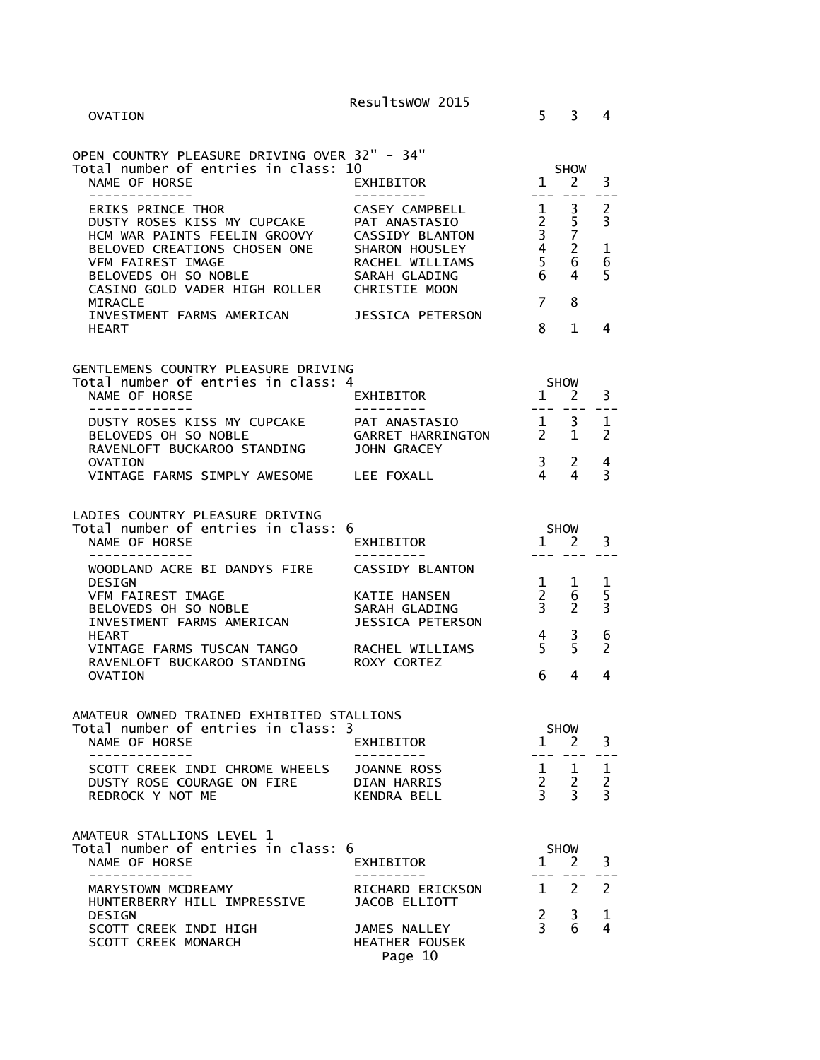| OVATION                                                                                                                                                                                               | Resultswow 2015                                                                                                                         | 5.                                                                        | 3                                                    | 4                        |
|-------------------------------------------------------------------------------------------------------------------------------------------------------------------------------------------------------|-----------------------------------------------------------------------------------------------------------------------------------------|---------------------------------------------------------------------------|------------------------------------------------------|--------------------------|
| OPEN COUNTRY PLEASURE DRIVING OVER 32" - 34"<br>Total number of entries in class: 10<br>NAME OF HORSE<br>------------                                                                                 | <b>EXHIBITOR</b>                                                                                                                        | $\mathbf{1}$                                                              | <b>SHOW</b><br><sup>2</sup>                          | 3                        |
| <b>ERIKS PRINCE THOR</b><br>DUSTY ROSES KISS MY CUPCAKE<br>HCM WAR PAINTS FEELIN GROOVY<br>BELOVED CREATIONS CHOSEN ONE<br>VFM FAIREST IMAGE<br>BELOVEDS OH SO NOBLE<br>CASINO GOLD VADER HIGH ROLLER | CASEY CAMPBELL<br>PAT ANASTASIO<br><b>CASSIDY BLANTON</b><br>SHARON HOUSLEY<br>RACHEL WILLIAMS<br>SARAH GLADING<br><b>CHRISTIE MOON</b> | $\mathbf{1}$<br>$2^{\circ}$<br>$\overline{3}$<br>$\overline{4}$<br>5<br>6 | 3<br>5<br>$\overline{7}$<br>$\overline{2}$<br>6<br>4 | 2<br>3<br>1<br>6<br>5    |
| MIRACLE<br>INVESTMENT FARMS AMERICAN<br><b>HEART</b>                                                                                                                                                  | JESSICA PETERSON                                                                                                                        | $\overline{7}$<br>8                                                       | 8<br>$\mathbf{1}$                                    | 4                        |
| GENTLEMENS COUNTRY PLEASURE DRIVING<br>Total number of entries in class: 4<br>NAME OF HORSE<br>- - - - - - - - - - - - -                                                                              | EXHIBITOR<br>- - - - - - - - - -                                                                                                        | $1 \quad$                                                                 | <b>SHOW</b><br>2                                     | 3                        |
| DUSTY ROSES KISS MY CUPCAKE<br>BELOVEDS OH SO NOBLE<br>RAVENLOFT BUCKAROO STANDING                                                                                                                    | PAT ANASTASIO<br>GARRET HARRINGTON<br><b>JOHN GRACEY</b>                                                                                | $- - -$<br>1<br>$2^{\circ}$                                               | 3<br>1                                               | 1<br>$\mathcal{P}$       |
| OVATION<br>VINTAGE FARMS SIMPLY AWESOME LEE FOXALL                                                                                                                                                    |                                                                                                                                         | $\mathbf{3}$<br>4                                                         | 2<br>4                                               | 4<br>3                   |
| LADIES COUNTRY PLEASURE DRIVING<br>Total number of entries in class: 6<br>NAME OF HORSE                                                                                                               | EXHIBITOR                                                                                                                               | <b>SHOW</b><br>$\mathbf{1}$                                               | 2                                                    | 3                        |
| WOODLAND ACRE BI DANDYS FIRE<br><b>DESIGN</b><br><b>VFM FAIREST IMAGE</b>                                                                                                                             | <b>CASSIDY BLANTON</b><br>KATIE HANSEN                                                                                                  | $\mathbf{1}$<br>$\overline{2}$                                            | 1<br>6                                               | 1<br>5                   |
| BELOVEDS OH SO NOBLE<br>INVESTMENT FARMS AMERICAN<br>HEART<br>VINTAGE FARMS TUSCAN TANGO                                                                                                              | SARAH GLADING<br><b>JESSICA PETERSON</b><br>RACHEL WILLIAMS                                                                             | $\overline{3}$<br>$\overline{4}$<br>5                                     | 2<br>3<br>5                                          | 3<br>6<br>$\mathcal{P}$  |
| RAVENLOFT BUCKAROO STANDING<br><b>OVATION</b>                                                                                                                                                         | ROXY CORTEZ                                                                                                                             | 6                                                                         | 4                                                    | 4                        |
| AMATEUR OWNED TRAINED EXHIBITED STALLIONS<br>Total number of entries in class: 3<br>NAME OF HORSE<br>-------------                                                                                    | EXHIBITOR<br>- - - - - - -                                                                                                              | $1 \quad 2$<br>$---$                                                      | <b>SHOW</b><br>$---$                                 | 3<br>$- -$               |
| SCOTT CREEK INDI CHROME WHEELS<br>DUSTY ROSE COURAGE ON FIRE<br>REDROCK Y NOT ME                                                                                                                      | JOANNE ROSS<br>DIAN HARRIS<br>KENDRA BELL                                                                                               | $1 \quad$<br>$\begin{array}{ccc} 2 & 2 \\ 3 & 3 \end{array}$              | 1                                                    | 1<br>$\overline{2}$<br>3 |
| AMATEUR STALLIONS LEVEL 1<br>Total number of entries in class: 6<br>NAME OF HORSE                                                                                                                     | EXHIBITOR                                                                                                                               | $1 \quad 2$                                                               | <b>SHOW</b>                                          | 3                        |
| -----------<br>MARYSTOWN MCDREAMY<br>HUNTERBERRY HILL IMPRESSIVE                                                                                                                                      | RICHARD ERICKSON<br>JACOB ELLIOTT                                                                                                       | $\mathbf{1}$                                                              | $\overline{2}$                                       | 2                        |
| <b>DESIGN</b><br>SCOTT CREEK INDI HIGH<br>SCOTT CREEK MONARCH                                                                                                                                         | JAMES NALLEY<br><b>HEATHER FOUSEK</b><br>Page 10                                                                                        | $\mathbf{2}$<br>$\mathbf{3}$                                              | 3<br>6                                               | 1<br>4                   |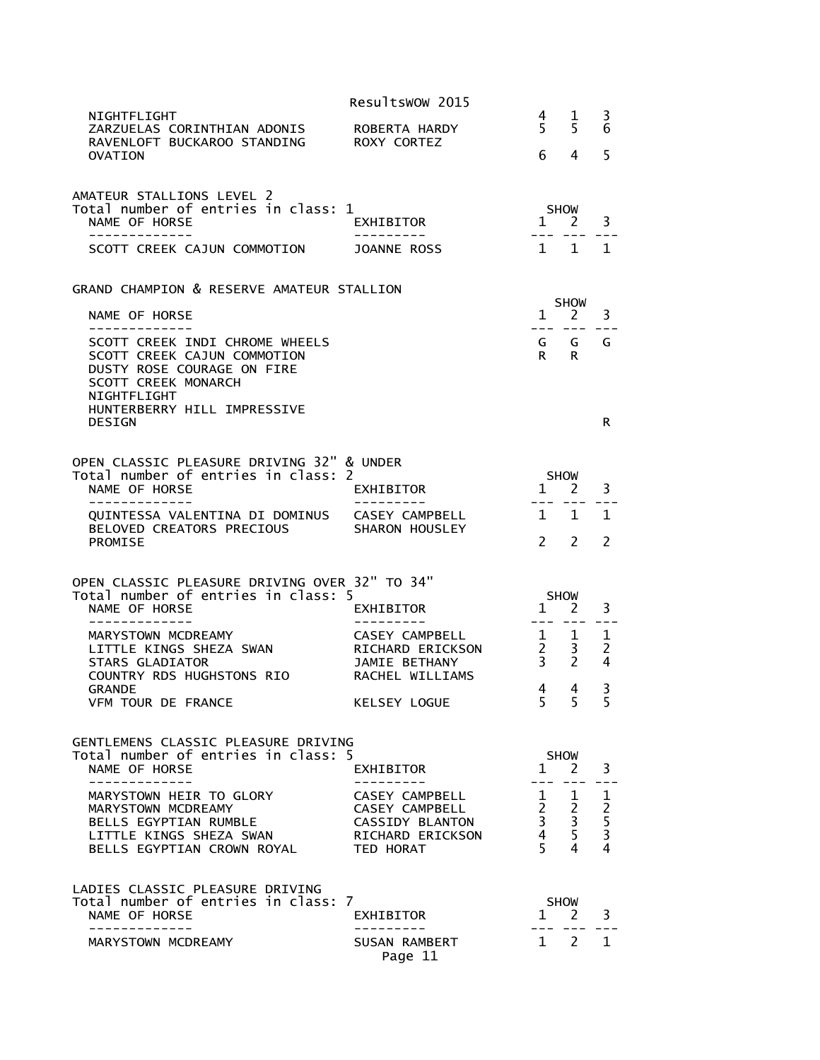|                                                                                                                                                                         | Resultswow 2015                                  |                     |                                                                                                 |                          |
|-------------------------------------------------------------------------------------------------------------------------------------------------------------------------|--------------------------------------------------|---------------------|-------------------------------------------------------------------------------------------------|--------------------------|
| NIGHTFLIGHT<br>ZARZUELAS CORINTHIAN ADONIS<br>RAVENLOFT BUCKAROO STANDING                                                                                               | ROBERTA HARDY<br>ROXY CORTEZ                     | 4<br>5 <sup>1</sup> | 1<br>5                                                                                          | 3<br>6                   |
| OVATION                                                                                                                                                                 |                                                  | 6.                  | 4                                                                                               | 5                        |
| AMATEUR STALLIONS LEVEL 2<br>Total number of entries in class: 1<br>NAME OF HORSE                                                                                       | EXHIBITOR                                        | $1 \quad 2$         | <b>SHOW</b>                                                                                     | 3                        |
| SCOTT CREEK CAJUN COMMOTION                                                                                                                                             | JOANNE ROSS                                      |                     | $1 \quad 1$                                                                                     | $\mathbf{1}$             |
|                                                                                                                                                                         |                                                  |                     |                                                                                                 |                          |
| GRAND CHAMPION & RESERVE AMATEUR STALLION                                                                                                                               |                                                  |                     | <b>SHOW</b>                                                                                     |                          |
| NAME OF HORSE                                                                                                                                                           |                                                  | $\mathbf{1}$        | 2                                                                                               | 3                        |
| SCOTT CREEK INDI CHROME WHEELS<br>SCOTT CREEK CAJUN COMMOTION<br>DUSTY ROSE COURAGE ON FIRE<br><b>SCOTT CREEK MONARCH</b><br>NIGHTFLIGHT<br>HUNTERBERRY HILL IMPRESSIVE |                                                  | R.                  | GG.<br>R.                                                                                       | G                        |
| <b>DESIGN</b>                                                                                                                                                           |                                                  |                     |                                                                                                 | R                        |
|                                                                                                                                                                         |                                                  |                     |                                                                                                 |                          |
| OPEN CLASSIC PLEASURE DRIVING 32" & UNDER<br>Total number of entries in class: 2                                                                                        |                                                  |                     | <b>SHOW</b>                                                                                     |                          |
| NAME OF HORSE<br>-------------                                                                                                                                          | EXHIBITOR<br>. <u>.</u> .                        | $1 \quad 2$         | $- - -$                                                                                         | 3                        |
| QUINTESSA VALENTINA DI DOMINUS CASEY CAMPBELL                                                                                                                           |                                                  | $\mathbf{1}$        | $\mathbf{1}$                                                                                    | 1                        |
| BELOVED CREATORS PRECIOUS<br><b>PROMISE</b>                                                                                                                             | SHARON HOUSLEY                                   | $2^{\circ}$         | 2                                                                                               | $\overline{2}$           |
|                                                                                                                                                                         |                                                  |                     |                                                                                                 |                          |
| OPEN CLASSIC PLEASURE DRIVING OVER 32" TO 34"                                                                                                                           |                                                  |                     |                                                                                                 |                          |
| Total number of entries in class: 5<br>NAME OF HORSE                                                                                                                    | EXHIBITOR                                        | $1 \quad$           | <b>SHOW</b><br>2                                                                                | 3                        |
| ----------- <i>-</i>                                                                                                                                                    |                                                  | $- - -$             |                                                                                                 | 1                        |
| MARYSTOWN MCDREAMY<br>LITTLE KINGS SHEZA SWAN                                                                                                                           | <b>CASEY CAMPBELL</b><br><b>RICHARD ERICKSON</b> | 1<br>$2^{\circ}$    | 1<br>3                                                                                          | $\overline{2}$           |
| <b>STARS GLADIATOR</b><br>COUNTRY RDS HUGHSTONS RIO                                                                                                                     | <b>JAMIE BETHANY</b><br>RACHEL WILLIAMS          | 3 <sup>7</sup>      | 2                                                                                               | 4                        |
| <b>GRANDE</b>                                                                                                                                                           |                                                  | 4                   | 4                                                                                               | 3                        |
| VFM TOUR DE FRANCE                                                                                                                                                      | KELSEY LOGUE                                     | 5.                  | -5                                                                                              | $\overline{\phantom{0}}$ |
| GENTLEMENS CLASSIC PLEASURE DRIVING                                                                                                                                     |                                                  |                     |                                                                                                 |                          |
| Total number of entries in class: 5                                                                                                                                     |                                                  |                     | <b>SHOW</b>                                                                                     |                          |
| NAME OF HORSE<br>.                                                                                                                                                      | EXHIBITOR                                        | $1 \quad 2$         |                                                                                                 | 3                        |
| MARYSTOWN HEIR TO GLORY<br>MARYSTOWN MCDREAMY                                                                                                                           | CASEY CAMPBELL<br>CASEY CAMPBELL                 |                     | $\begin{array}{cccc} 1 & 1 & 1 \\ 2 & 2 & 2 \\ 3 & 3 & 5 \\ 4 & 5 & 3 \\ 5 & 4 & 4 \end{array}$ |                          |
| BELLS EGYPTIAN RUMBLE                                                                                                                                                   | CASSIDY BLANTON                                  |                     |                                                                                                 |                          |
| LITTLE KINGS SHEZA SWAN<br>BELLS EGYPTIAN CROWN ROYAL                                                                                                                   | RICHARD ERICKSON<br>TED HORAT                    | $5 -$               | 4                                                                                               | $\overline{4}$           |
|                                                                                                                                                                         |                                                  |                     |                                                                                                 |                          |
| LADIES CLASSIC PLEASURE DRIVING                                                                                                                                         |                                                  |                     |                                                                                                 |                          |
| Total number of entries in class: 7<br>NAME OF HORSE                                                                                                                    | EXHIBITOR                                        |                     | <b>SHOW</b><br>1 2                                                                              | 3                        |
| ----------<br>MARYSTOWN MCDREAMY                                                                                                                                        | SUSAN RAMBERT                                    | $\mathbf{1}$        | $\overline{2}$                                                                                  | $\mathbf{1}$             |
|                                                                                                                                                                         | Page 11                                          |                     |                                                                                                 |                          |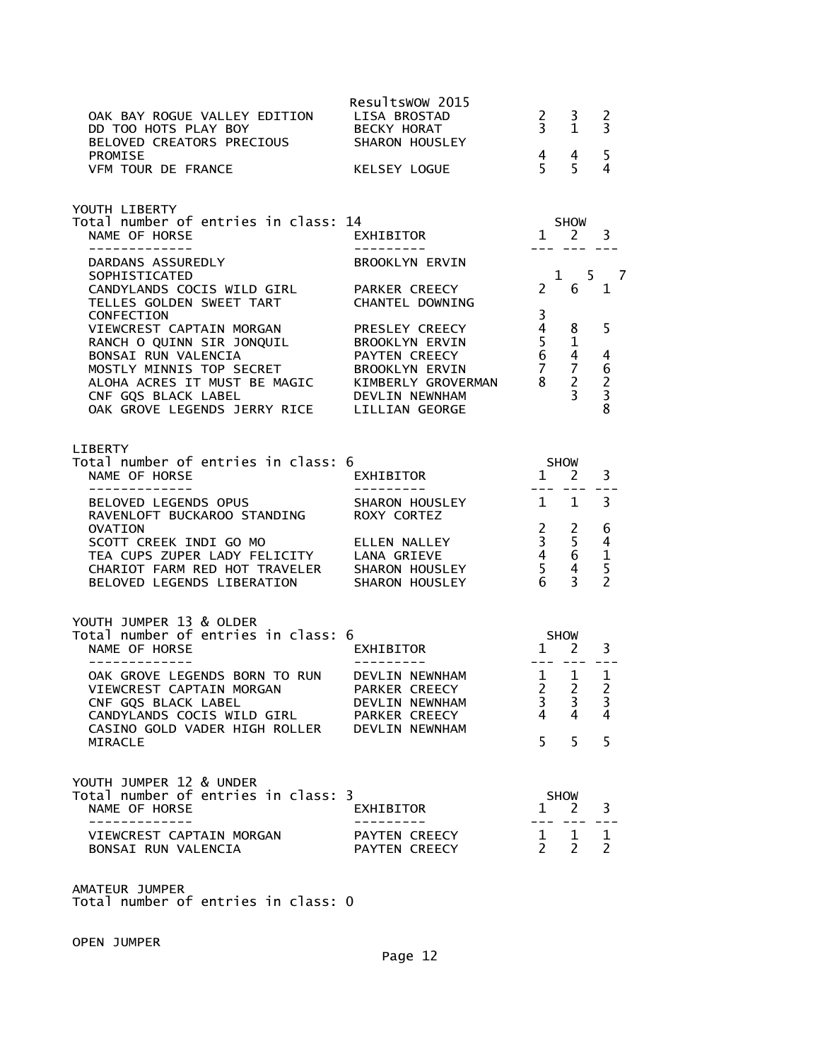| OAK BAY ROGUE VALLEY EDITION<br>DD TOO HOTS PLAY BOY              BECKY HORAT<br>BELOVED CREATORS PRECIOUS          SHARON HOUSLEY                                                                                                                                                 | Resultswow 2015<br>LISA BROSTAD                                                                     |                | $\begin{array}{cc} 2 & 3 \\ 3 & 1 \end{array}$                                     | 2<br>$\overline{3}$                     |  |
|------------------------------------------------------------------------------------------------------------------------------------------------------------------------------------------------------------------------------------------------------------------------------------|-----------------------------------------------------------------------------------------------------|----------------|------------------------------------------------------------------------------------|-----------------------------------------|--|
| PROMISE<br>VFM TOUR DE FRANCE                                                                                                                                                                                                                                                      | KELSEY LOGUE                                                                                        |                | $\begin{array}{cc} 4 & 4 \\ 5 & 5 \end{array}$                                     | 5<br>4                                  |  |
| YOUTH LIBERTY<br>Total number of entries in class: 14<br>NAME OF HORSE                                                                                                                                                                                                             | SHOW 1 2 3<br>.4<br>EXHIBITOR                                                                       |                |                                                                                    |                                         |  |
| ______________<br>DARDANS ASSUREDLY                                                                                                                                                                                                                                                | BROOKLYN ERVIN                                                                                      |                | --- --- ---                                                                        |                                         |  |
| SOPHISTICATED<br>CANDYLANDS COCIS WILD GIRL PARKER CREECY<br>TELLES GOLDEN SWEET TART CHANTEL DOWNING                                                                                                                                                                              |                                                                                                     |                | $2 \quad 6$                                                                        | $1 \qquad 5 \qquad 7$<br>$\overline{1}$ |  |
| CONFECTION<br>VIEWCREST CAPTAIN MORGAN<br>VIEWCREST CAPTAIN MORGAN<br>RANCH O QUINN SIR JONQUIL BROOKLYN ERVIN 5 1<br>BONSAI RUN VALENCIA PAYTEN CREECY 6 4 4<br>MOSTLY MINNIS TOP SECRET BROOKLYN ERVIN 7 7 6<br>ALOHA ACRES IT MUST BE MAGIC KIMBERLY GROVERMAN 8 2 2<br>CNF GQS | PRESLEY CREECY                                                                                      | 3              | $\overline{4}$ 8                                                                   | 5                                       |  |
| LIBERTY<br>Total number of entries in class: 6<br>NAME OF HORSE<br>-------------                                                                                                                                                                                                   | $1$ SHOW<br>,<br>EXHIBITOR                                                                          |                |                                                                                    | 3                                       |  |
| BELOVED LEGENDS OPUS SHARON HOUSLEY<br>RAVENLOFT BUCKAROO STANDING ROXY CORTEZ                                                                                                                                                                                                     |                                                                                                     |                | $1\quad 1$                                                                         | 3                                       |  |
| OVATION<br>SCOTT CREEK INDI GO MO ELLEN NALLEY<br>TEA CUPS ZUPER LADY FELICITY LANA GRIEVE<br>CHARIOT FARM RED HOT TRAVELER SHARON HOUSLEY<br>BELOVED LEGENDS LIBERATION                                                                                                           | ELLEN NALLEY<br>LANA GRIEVE<br>SHARON HOUSLEY<br>SHARON HOUSLEY<br>5 4 5<br>SHARON HOUSLEY<br>6 3 2 |                |                                                                                    |                                         |  |
| YOUTH JUMPER 13 & OLDER<br>Total number of entries in class: 6<br>NAME OF HORSE<br>--------------                                                                                                                                                                                  | SHOW<br>1 2<br>EXHIBITOR<br>--------                                                                |                |                                                                                    | 3                                       |  |
| OAK GROVE LEGENDS BORN TO RUN DEVLIN NEWNHAM<br>VIEWCREST CAPTAIN MORGAN PARKER CREECY<br>CNF GQS BLACK LABEL<br>CANDYLANDS COCIS WILD GIRL                                                                                                                                        | $\begin{array}{ccccc} & 1 & 1 & 1 \\ 2 & 2 & 2 \end{array}$<br>DEVLIN NEWNHAM<br>PARKER CREECY      | 3.<br>4        | $\begin{array}{cccc} - & - & - & - \\ \end{array}$<br>$\overline{\mathbf{3}}$<br>4 | J.<br>4                                 |  |
| CASINO GOLD VADER HIGH ROLLER<br>MIRACLE                                                                                                                                                                                                                                           | <b>DEVLIN NEWNHAM</b>                                                                               | 5 <sup>7</sup> | 5 <sup>1</sup>                                                                     | 5                                       |  |
| YOUTH JUMPER 12 & UNDER<br>Total number of entries in class: 3<br>NAME OF HORSE                                                                                                                                                                                                    | <b>EXHIBITOR</b>                                                                                    |                | SHOW<br>$1 \quad 2$                                                                | 3                                       |  |
| VIEWCREST CAPTAIN MORGAN<br>BONSAI RUN VALENCIA                                                                                                                                                                                                                                    | PAYTEN CREECY<br>PAYTEN CREECY                                                                      |                | $\begin{matrix} 1 & 1 \\ 2 & 2 \end{matrix}$                                       | $\mathbf{1}$<br>$\mathcal{P}$           |  |
| AMATEUR JUMPER                                                                                                                                                                                                                                                                     |                                                                                                     |                |                                                                                    |                                         |  |

Total number of entries in class: 0

OPEN JUMPER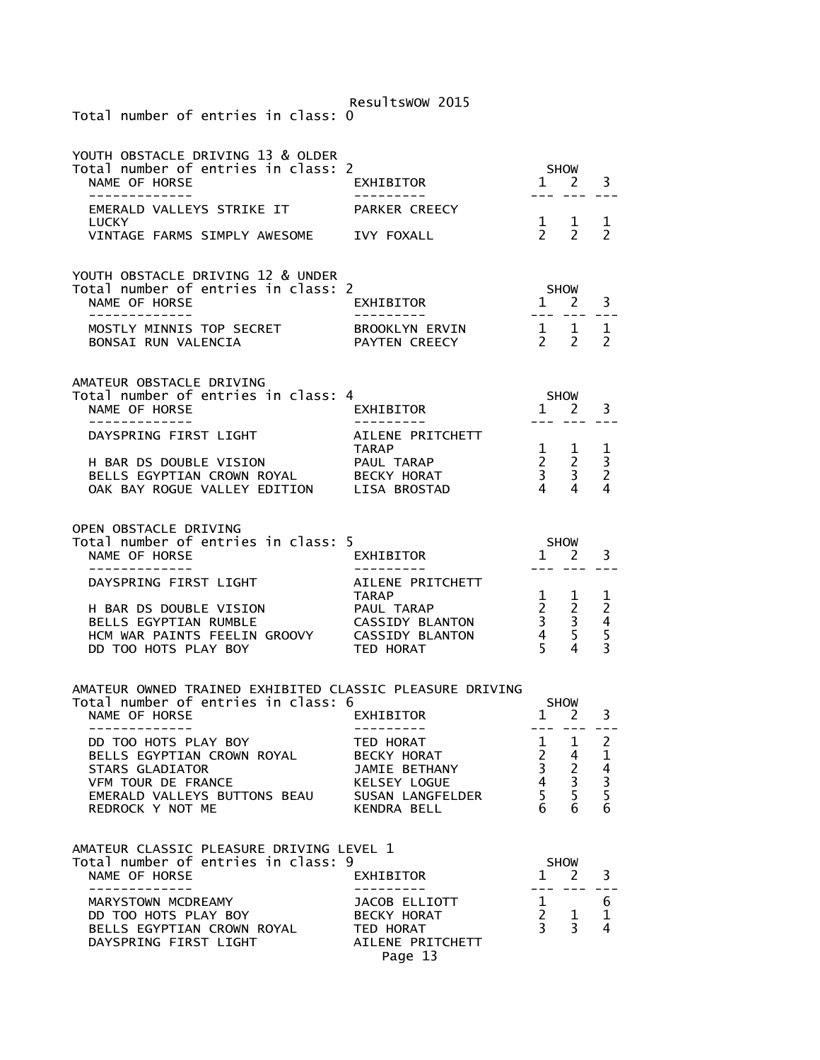| Total number of entries in class: 0                                                                                                                                                                                                        | Resultswow 2015                                                                  |                                                                                                           |                                                                             |                                                   |
|--------------------------------------------------------------------------------------------------------------------------------------------------------------------------------------------------------------------------------------------|----------------------------------------------------------------------------------|-----------------------------------------------------------------------------------------------------------|-----------------------------------------------------------------------------|---------------------------------------------------|
| YOUTH OBSTACLE DRIVING 13 & OLDER<br>Total number of entries in class: 2<br>NAME OF HORSE<br>-----------                                                                                                                                   | EXHIBITOR                                                                        |                                                                                                           | SHOW<br>$1 \quad 2$<br>$\sim$ $\sim$ $\sim$                                 | 3                                                 |
| EMERALD VALLEYS STRIKE IT<br><b>LUCKY</b><br>VINTAGE FARMS SIMPLY AWESOME IVY FOXALL                                                                                                                                                       | PARKER CREECY                                                                    |                                                                                                           | $\begin{matrix} 1 & 1 \\ 2 & 2 \end{matrix}$                                | 1<br>$\overline{2}$                               |
| YOUTH OBSTACLE DRIVING 12 & UNDER<br>Total number of entries in class: 2<br>NAME OF HORSE<br>______________                                                                                                                                | EXHIBITOR                                                                        | 1 2                                                                                                       | <b>SHOW</b>                                                                 | 3                                                 |
| MOSTLY MINNIS TOP SECRET<br>BONSAI RUN VALENCIA                                                                                                                                                                                            | BROOKLYN ERVIN<br>PAYTEN CREECY                                                  | $\begin{array}{cccccc} - & - & - & - & - \\ - & - & - & - \end{array}$<br>$\frac{1}{2}$<br>$\overline{2}$ | 1<br>$\mathcal{P}$                                                          | 1<br>$\mathcal{P}$                                |
| AMATEUR OBSTACLE DRIVING<br>Total number of entries in class: 4<br>NAME OF HORSE                                                                                                                                                           | EXHIBITOR                                                                        | $1 \quad$                                                                                                 | <b>SHOW</b><br><sup>2</sup>                                                 | 3                                                 |
| -----------<br>DAYSPRING FIRST LIGHT                                                                                                                                                                                                       | AILENE PRITCHETT                                                                 |                                                                                                           |                                                                             |                                                   |
| H BAR DS DOUBLE VISION<br>H BAR DS DOUBLE VISION<br>BELLS EGYPTIAN CROWN ROYAL<br>OAK BAY ROGUE VALLEY EDITION LISA BROSTAD                                                                                                                | TARAP<br>PAUL TARAP<br>BECKY HORAT                                               | $\mathbf{1}$<br>$\overline{4}$                                                                            | $\mathbf 1$<br>$\begin{array}{ccc} 2 & 2 \\ 3 & 3 \end{array}$<br>4         | 1<br>3<br>$\overline{2}$<br>4                     |
| OPEN OBSTACLE DRIVING                                                                                                                                                                                                                      |                                                                                  |                                                                                                           |                                                                             |                                                   |
| Total number of entries in class: 5<br>NAME OF HORSE                                                                                                                                                                                       | EXHIBITOR                                                                        | $1 \quad 2$                                                                                               | <b>SHOW</b>                                                                 | 3                                                 |
| DAYSPRING FIRST LIGHT                                                                                                                                                                                                                      | AILENE PRITCHETT<br><b>TARAP</b>                                                 | $\mathbf{1}$                                                                                              | 1                                                                           | 1                                                 |
| H BAR DS DOUBLE VISION<br>BELLS EGYPTIAN RUMBLE<br>HCM WAR PAINTS FEELIN GROOVY<br>DD TOO HOTS PLAY BOY                                                                                                                                    | PAUL TARAP<br><b>CASSIDY BLANTON</b><br><b>CASSIDY BLANTON</b><br>TED HORAT      | $\begin{array}{ccc} 2 & 2 \\ 3 & 3 \\ 4 & 5 \end{array}$<br>5 <sup>1</sup>                                | $\overline{4}$                                                              | $\begin{array}{c}\n2 \\ 4 \\ 5 \\ 3\n\end{array}$ |
| AMATEUR OWNED TRAINED EXHIBITED CLASSIC PLEASURE DRIVING<br>Total number of entries in class: 6                                                                                                                                            |                                                                                  |                                                                                                           | <b>SHOW</b>                                                                 |                                                   |
| NAME OF HORSE                                                                                                                                                                                                                              | EXHIBITOR                                                                        |                                                                                                           | $1 \quad 2$                                                                 | 3                                                 |
| NOT CONSIDER THE CONSIDER THE CONSIDERATION OF THE SECAL STARS GLADIATOR<br>STARS GLADIATOR<br>TED HORAT TED HORAT 1 1 2<br>STARS GLADIATOR SECKY HORAT 2 4 1<br>STARS GLADIATOR SEAU SUSAN LANGFELDER 4 3 3<br>STARS CONSIDER 5 5 5<br>ST |                                                                                  |                                                                                                           |                                                                             |                                                   |
| AMATEUR CLASSIC PLEASURE DRIVING LEVEL 1<br>Total number of entries in class: 9<br>NAME OF HORSE                                                                                                                                           | EXHIBITOR                                                                        |                                                                                                           | SHOW<br>$1 \quad 2$                                                         | 3                                                 |
| -------------<br>MARYSTOWN MCDREAMY<br>DD TOO HOTS PLAY BOY<br>BELLS EGYPTIAN CROWN ROYAL TED HORAT<br>DAYSPRING FIRST LIGHT                                                                                                               | ----------<br>JACOB ELLIOTT<br><b>BECKY HORAT</b><br>AILENE PRITCHETT<br>Page 13 |                                                                                                           | --- --- ---<br>$\begin{array}{ccc} 1 & & \\ 2 & 1 & \\ 3 & 3 & \end{array}$ | 6<br>$\mathbf 1$<br>4                             |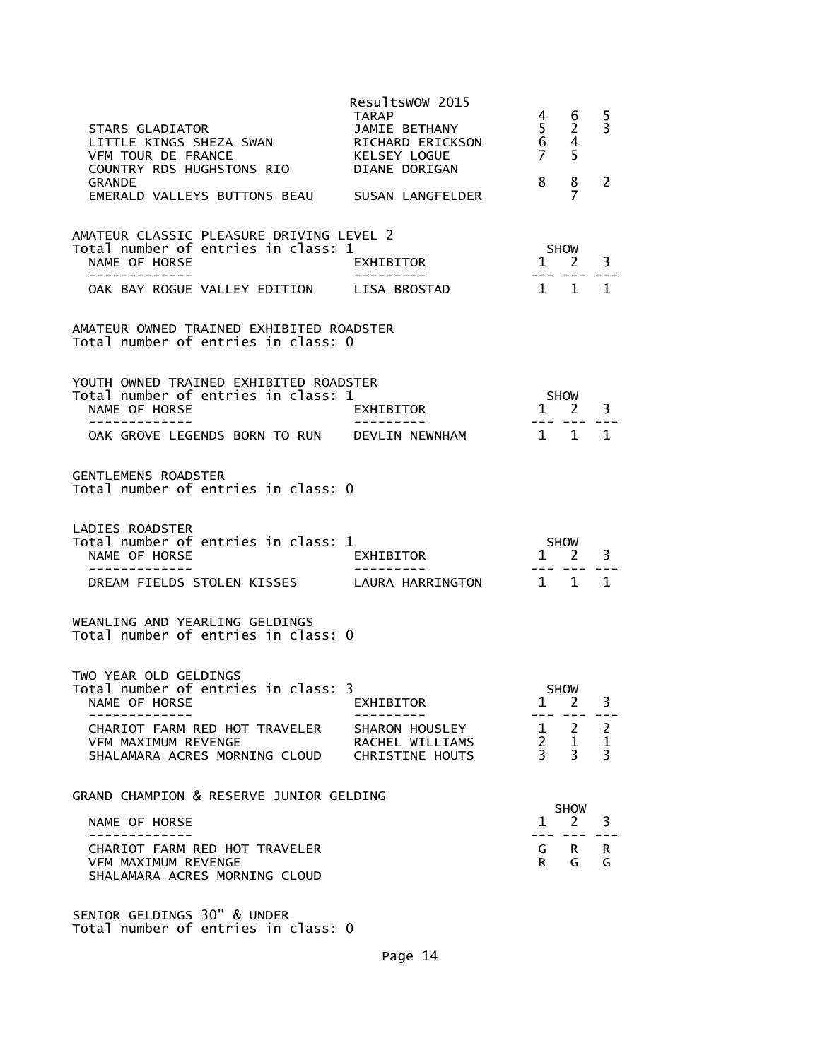| STARS GLADIATOR<br>LITTLE KINGS SHEZA SWAN<br>VFM TOUR DE FRANCE<br>COUNTRY RDS HUGHSTONS RIO<br><b>GRANDE</b><br>EMERALD VALLEYS BUTTONS BEAU                 | Resultswow 2015<br>TARAP<br>JAMIE BETHANY<br>RICHARD ERICKSON<br>KELSEY LOGUE<br>DIANE DORIGAN<br>SUSAN LANGFELDER | 4<br>$\overline{5}$<br>$\overline{6}$<br>7 <sup>7</sup><br>8 | 6<br>$\overline{2}$<br>4<br>5<br>8<br>7       | 5<br>3<br>2                                     |
|----------------------------------------------------------------------------------------------------------------------------------------------------------------|--------------------------------------------------------------------------------------------------------------------|--------------------------------------------------------------|-----------------------------------------------|-------------------------------------------------|
| AMATEUR CLASSIC PLEASURE DRIVING LEVEL 2<br>Total number of entries in class: 1<br>NAME OF HORSE<br>-------------<br>OAK BAY ROGUE VALLEY EDITION LISA BROSTAD | EXHIBITOR                                                                                                          | --- ---                                                      | SHOW<br>$1 \quad 2$<br>1 1                    | 3<br>$\mathbf{1}$                               |
| AMATEUR OWNED TRAINED EXHIBITED ROADSTER<br>Total number of entries in class: 0                                                                                |                                                                                                                    |                                                              |                                               |                                                 |
| YOUTH OWNED TRAINED EXHIBITED ROADSTER<br>Total number of entries in class: 1<br>NAME OF HORSE<br>OAK GROVE LEGENDS BORN TO RUN DEVLIN NEWNHAM                 | EXHIBITOR                                                                                                          | $1 \quad 1$                                                  | <b>SHOW</b><br>$1 \quad 2 \quad 3$<br>--- --- | 1                                               |
| <b>GENTLEMENS ROADSTER</b><br>Total number of entries in class: 0                                                                                              |                                                                                                                    |                                                              |                                               |                                                 |
| LADIES ROADSTER<br>Total number of entries in class: 1<br>NAME OF HORSE<br>- - - - - - - - - - -<br>DREAM FIELDS STOLEN KISSES LAURA HARRINGTON 1 1            | EXHIBITOR                                                                                                          | $1 \quad 2$                                                  | SHOW                                          | 3<br>1.                                         |
| WEANLING AND YEARLING GELDINGS<br>Total number of entries in class: 0                                                                                          |                                                                                                                    |                                                              |                                               |                                                 |
| TWO YEAR OLD GELDINGS<br>Total number of entries in class: 3<br>NAME OF HORSE                                                                                  | EXHIBITOR                                                                                                          | T                                                            | <b>SHOW</b><br>2                              | 3.                                              |
| CHARIOT FARM RED HOT TRAVELER<br>VFM MAXIMUM REVENGE<br>SHALAMARA ACRES MORNING CLOUD                                                                          | SHARON HOUSLEY<br>RACHEL WILLIAMS<br>CHRISTINE HOUTS                                                               | $2^{\circ}$<br>$\overline{3}$                                | $1 \quad 2$<br>1<br>$\overline{3}$            | $\overline{2}$<br>$\mathbf 1$<br>$\overline{3}$ |
| GRAND CHAMPION & RESERVE JUNIOR GELDING                                                                                                                        |                                                                                                                    |                                                              | <b>SHOW</b>                                   |                                                 |
| NAME OF HORSE                                                                                                                                                  |                                                                                                                    | $\mathbf{1}$                                                 | 2                                             | 3                                               |
| CHARIOT FARM RED HOT TRAVELER<br><b>VFM MAXIMUM REVENGE</b><br>SHALAMARA ACRES MORNING CLOUD                                                                   |                                                                                                                    | G<br>R.                                                      | $\mathsf{R}$<br>G                             | R<br>G                                          |

SENIOR GELDINGS 30" & UNDER Total number of entries in class: 0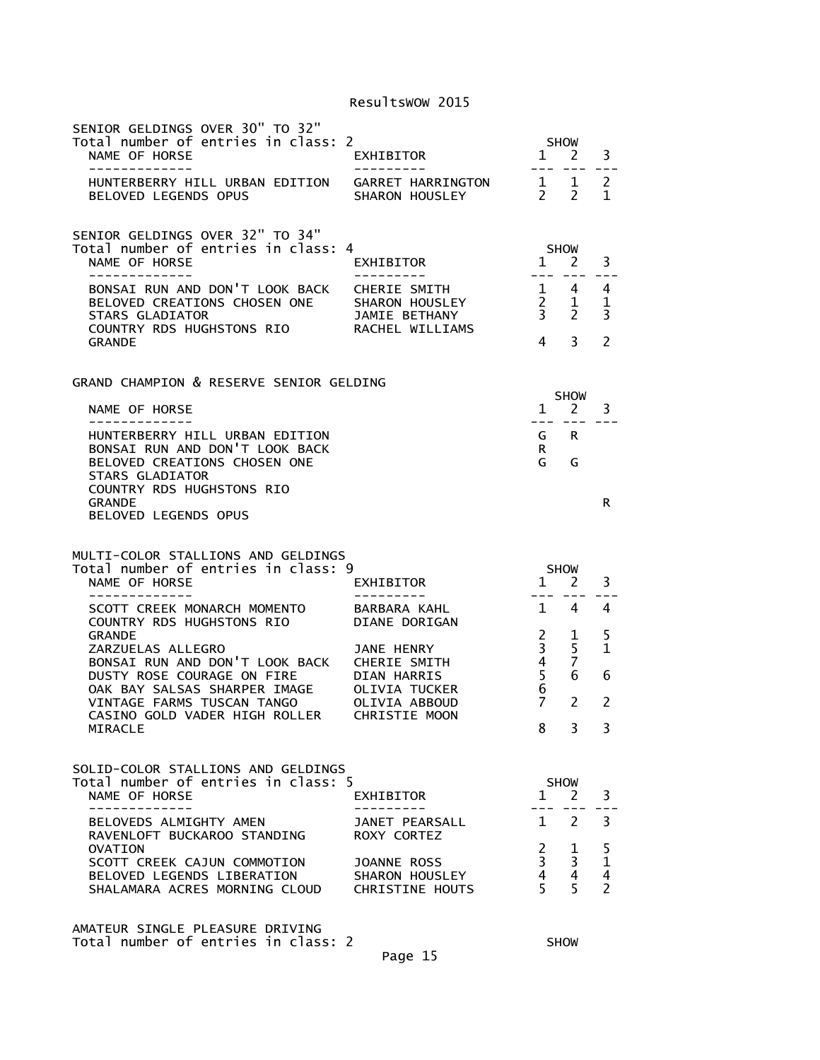| SENIOR GELDINGS OVER 30" TO 32"<br>Total number of entries in class: 2<br>NAME OF HORSE<br>-------------                               | EXHIBITOR<br>- - - - - - - - - -                                          | $\mathbf{1}$                                  | <b>SHOW</b><br>$\mathcal{L}$    | 3                                                        |
|----------------------------------------------------------------------------------------------------------------------------------------|---------------------------------------------------------------------------|-----------------------------------------------|---------------------------------|----------------------------------------------------------|
| HUNTERBERRY HILL URBAN EDITION<br><b>BELOVED LEGENDS OPUS</b>                                                                          | GARRET HARRINGTON<br>SHARON HOUSLEY                                       | $\mathbf{1}$<br>$\mathcal{P}$                 | 1<br>$\mathcal{P}$              | 2<br>$\mathbf{1}$                                        |
| SENIOR GELDINGS OVER 32" TO 34"<br>Total number of entries in class: 4<br>NAME OF HORSE                                                | EXHIBITOR                                                                 | $\mathbf{1}$                                  | <b>SHOW</b><br>2                | 3                                                        |
| BONSAI RUN AND DON'T LOOK BACK<br>BELOVED CREATIONS CHOSEN ONE<br><b>STARS GLADIATOR</b><br>COUNTRY RDS HUGHSTONS RIO<br><b>GRANDE</b> | <b>CHERIE SMITH</b><br>SHARON HOUSLEY<br>JAMIE BETHANY<br>RACHEL WILLIAMS | $2^{\circ}$<br>3 <sup>7</sup><br>4            | 1 4<br>1<br>$\overline{2}$<br>3 | 4<br>1<br>3<br>2                                         |
| GRAND CHAMPION & RESERVE SENIOR GELDING                                                                                                |                                                                           |                                               |                                 |                                                          |
| NAME OF HORSE                                                                                                                          |                                                                           | $\mathbf{1}$<br>$- - -$                       | <b>SHOW</b><br>2                | 3                                                        |
| HUNTERBERRY HILL URBAN EDITION<br>BONSAI RUN AND DON'T LOOK BACK<br>BELOVED CREATIONS CHOSEN ONE<br><b>STARS GLADIATOR</b>             |                                                                           | G<br>R.<br>G                                  | R.<br>G                         |                                                          |
| COUNTRY RDS HUGHSTONS RIO<br><b>GRANDF</b><br><b>BELOVED LEGENDS OPUS</b>                                                              |                                                                           |                                               |                                 | R                                                        |
|                                                                                                                                        |                                                                           |                                               |                                 |                                                          |
| MULTI-COLOR STALLIONS AND GELDINGS<br>Total number of entries in class: 9<br>NAME OF HORSE                                             | EXHIBITOR                                                                 | $\mathbf{1}$                                  | <b>SHOW</b><br>2                | 3                                                        |
| -------------<br>SCOTT CREEK MONARCH MOMENTO<br>COUNTRY RDS HUGHSTONS RIO                                                              | BARBARA KAHL<br><b>DIANE DORIGAN</b>                                      | $\mathbf{1}$                                  | 4                               | 4                                                        |
| <b>GRANDE</b><br>ZARZUELAS ALLEGRO<br>BONSAI RUN AND DON'T LOOK BACK<br>DUSTY ROSE COURAGE ON FIRE                                     | JANE HENRY<br>CHERIE SMITH<br><b>DIAN HARRIS</b>                          | $\overline{c}$<br>3<br>4<br>5                 | 1<br>5<br>$\overline{7}$<br>6   | 5<br>1<br>6                                              |
| OAK BAY SALSAS SHARPER IMAGE<br>VINTAGE FARMS TUSCAN TANGO                                                                             | <b>OLIVIA TUCKER</b><br>OLIVIA ABBOUD                                     | 6<br>$\overline{7}$                           | 2                               | 2                                                        |
| CASINO GOLD VADER HIGH ROLLER<br>MIRACLE                                                                                               | <b>CHRISTIE MOON</b>                                                      | 8.                                            | 3                               | 3                                                        |
| SOLID-COLOR STALLIONS AND GELDINGS<br>Total number of entries in class: 5<br>NAME OF HORSE                                             | EXHIBITOR                                                                 | $1 \quad$                                     | <b>SHOW</b><br><sup>2</sup>     | 3                                                        |
| -----------<br>BELOVEDS ALMIGHTY AMEN                                                                                                  | JANET PEARSALL                                                            | 1                                             | $\mathcal{P}$                   | 3                                                        |
| RAVENLOFT BUCKAROO STANDING<br>OVATION                                                                                                 | ROXY CORTEZ                                                               | $2^{\circ}$                                   | 1                               | 5                                                        |
| SCOTT CREEK CAJUN COMMOTION<br>BELOVED LEGENDS LIBERATION<br>SHALAMARA ACRES MORNING CLOUD                                             | JOANNE ROSS<br>SHARON HOUSLEY<br><b>CHRISTINE HOUTS</b>                   | 3 <sup>7</sup><br>$4 \quad$<br>5 <sup>7</sup> | 3<br>4<br>5                     | $\mathbf 1$<br>$\overline{\mathbf{4}}$<br>$\overline{2}$ |

Page 15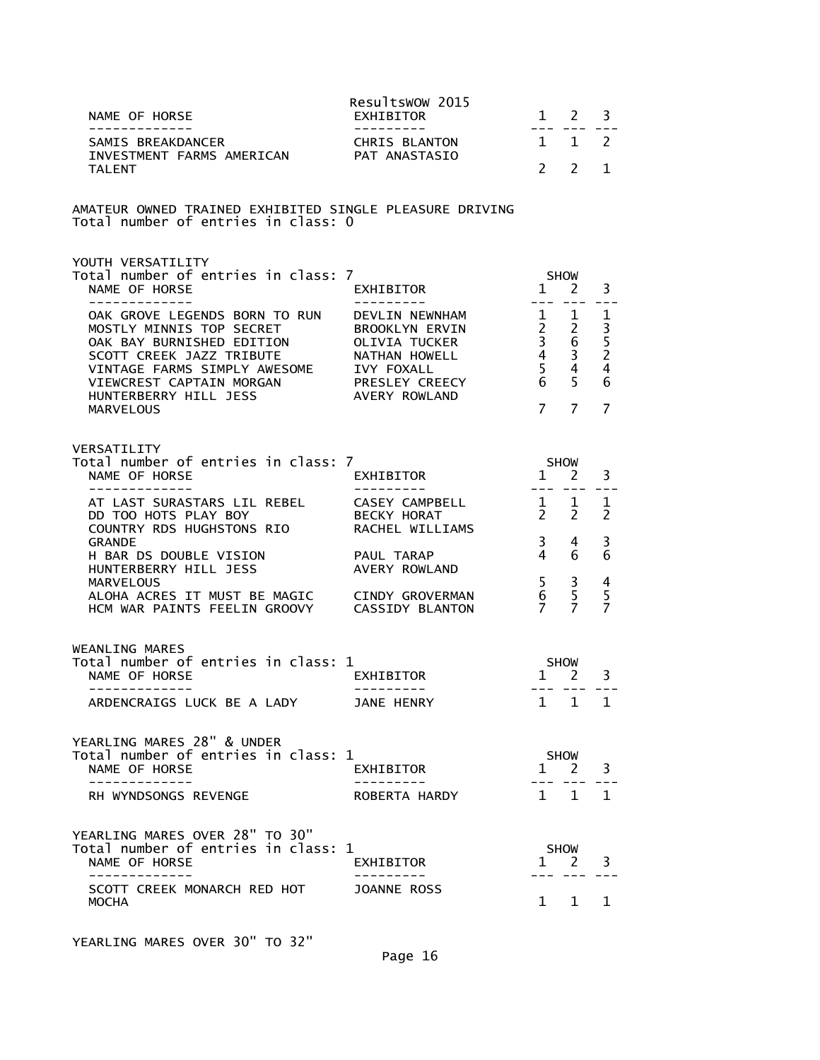| NAME OF HORSE<br>-------------                                                                                                                                                                                                                                                                                                        | Resultswow 2015<br>EXHIBITOR<br>----------                                     |                                                                                              | $1 \quad 2 \quad 3$                |                                                                 |
|---------------------------------------------------------------------------------------------------------------------------------------------------------------------------------------------------------------------------------------------------------------------------------------------------------------------------------------|--------------------------------------------------------------------------------|----------------------------------------------------------------------------------------------|------------------------------------|-----------------------------------------------------------------|
| SAMIS BREAKDANCER<br>INVESTMENT FARMS AMERICAN PAT ANASTASIO                                                                                                                                                                                                                                                                          |                                                                                | $1 \quad 1 \quad 2$                                                                          |                                    |                                                                 |
| <b>TALENT</b>                                                                                                                                                                                                                                                                                                                         |                                                                                |                                                                                              | $2 \overline{2}$                   | $\mathbf{1}$                                                    |
| AMATEUR OWNED TRAINED EXHIBITED SINGLE PLEASURE DRIVING<br>Total number of entries in class: 0                                                                                                                                                                                                                                        |                                                                                |                                                                                              |                                    |                                                                 |
| YOUTH VERSATILITY<br>Total number of entries in class: 7<br>NAME OF HORSE                                                                                                                                                                                                                                                             | EXHIBITOR                                                                      | <b>SHOW</b><br>$\frac{1}{1}$ $\frac{2}{1}$                                                   |                                    | 3                                                               |
| --------------<br>OAK GROVE LEGENDS BORN TO RUN DEVLIN NEWNHAM 1 1<br>MOSTLY MINNIS TOP SECRET BROOKLYN ERVIN<br>OAK BAY BURNISHED EDITION OLIVIA TUCKER<br>SCOTT CREEK JAZZ TRIBUTE<br>VINTAGE FARMS SIMPLY AWESOME IVY FOXALL<br>VIEWCREST CAPTAIN MORGAN PRESLEY CREECY<br>HUNTERBERRY HILL JESS AVERY ROWLAND<br><b>MARVELOUS</b> | ----------                                                                     | $\begin{array}{ccc} 2 & 2 \\ 3 & 6 \\ 4 & 3 \\ 5 & 4 \\ 6 & 5 \end{array}$<br>7 <sub>7</sub> |                                    | 1<br>$\frac{1}{3}$<br>$\frac{5}{2}$<br>4<br>6<br>$\overline{7}$ |
| VERSATILITY<br>Total number of entries in class: 7<br>NAME OF HORSE<br>--------------                                                                                                                                                                                                                                                 | EXHIBITOR<br>----------                                                        | <b>SHOW</b><br>$1 \quad 2$                                                                   |                                    | 3                                                               |
| AT LAST SURASTARS LIL REBEL CASEY CAMPBELL<br>DD TOO HOTS PLAY BOY BECKY HORAT<br>COUNTRY RDS HUGHSTONS RIO                                                                                                                                                                                                                           | $\begin{array}{ccccc} & 1 & 1 & 1 \\ 2 & 2 & 2 \end{array}$<br>RACHEL WILLIAMS |                                                                                              |                                    |                                                                 |
| <b>GRANDE</b><br>H BAR DS DOUBLE VISION<br>HUNTERBERRY HILL JESS                                                                                                                                                                                                                                                                      | PAUL TARAP<br>AVERY ROWLAND                                                    | $3 \quad 4$<br>$\overline{4}$                                                                | 6                                  | 3<br>6                                                          |
| <b>MARVELOUS</b><br>ALOHA ACRES IT MUST BE MAGIC CINDY GROVERMAN<br>HCM WAR PAINTS FEELIN GROOVY CASSIDY BLANTON                                                                                                                                                                                                                      |                                                                                | $\begin{matrix} 6 & 5 \\ 7 & 7 \end{matrix}$                                                 | $5 \quad 3$                        | 4<br>5<br>7                                                     |
| WEANLING MARES<br>Total number of entries in class: 1<br>NAME OF HORSE                                                                                                                                                                                                                                                                | <b>SHOW</b><br>EXHIBITOR                                                       | $1 \quad 2$                                                                                  |                                    | 3                                                               |
| -------------<br>ARDENCRAIGS LUCK BE A LADY JANE HENRY                                                                                                                                                                                                                                                                                |                                                                                |                                                                                              | --- --- ---<br>$1 \quad 1 \quad 1$ |                                                                 |
| YEARLING MARES 28" & UNDER<br>Total number of entries in class: 1<br>NAME OF HORSE                                                                                                                                                                                                                                                    | EXHIBITOR                                                                      |                                                                                              | SHOW<br>$1 \t2 \t3$                |                                                                 |
| .<br>RH WYNDSONGS REVENGE                                                                                                                                                                                                                                                                                                             | ROBERTA HARDY                                                                  |                                                                                              | 222 222 C<br>$1 \quad 1 \quad 1$   |                                                                 |
| YEARLING MARES OVER 28" TO 30"<br>Total number of entries in class: 1<br>NAME OF HORSE                                                                                                                                                                                                                                                | EXHIBITOR                                                                      |                                                                                              | SHOW<br>$1 \quad 2$                | $\overline{\mathbf{3}}$                                         |
| _____________<br>SCOTT CREEK MONARCH RED HOT<br>MOCHA                                                                                                                                                                                                                                                                                 | JOANNE ROSS                                                                    |                                                                                              | 1 1                                | 1                                                               |

YEARLING MARES OVER 30" TO 32"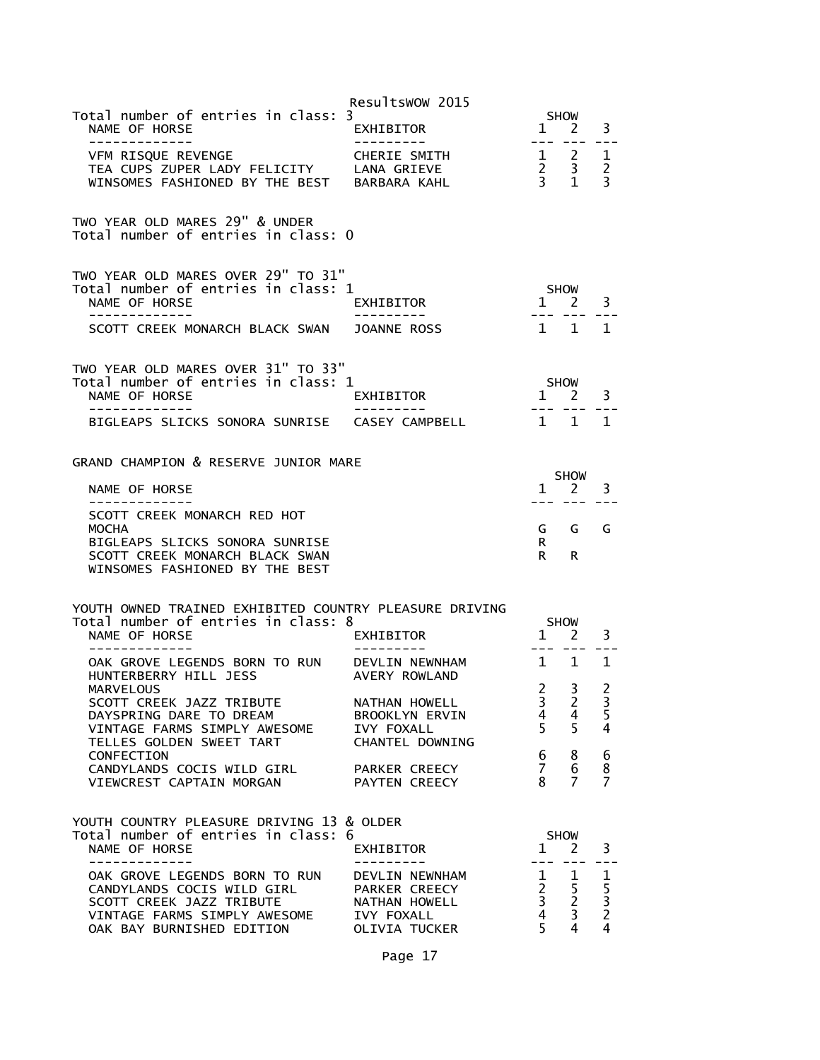|                                                                                                                                                      | Resultswow 2015                                                                        |                                                                      |                                                        |                                       |
|------------------------------------------------------------------------------------------------------------------------------------------------------|----------------------------------------------------------------------------------------|----------------------------------------------------------------------|--------------------------------------------------------|---------------------------------------|
| Total number of entries in class: 3<br>NAME OF HORSE<br>-------------                                                                                | EXHIBITOR                                                                              | $\mathbf{1}$                                                         | <b>SHOW</b><br>2                                       | 3                                     |
| VFM RISQUE REVENGE<br>TEA CUPS ZUPER LADY FELICITY<br>WINSOMES FASHIONED BY THE BEST BARBARA KAHL                                                    | CHERIE SMITH<br>LANA GRIEVE                                                            | $\frac{2}{3}$                                                        | $1 \quad 2$<br>$\overline{\mathbf{3}}$<br>$\mathbf{1}$ | 1<br>$\overline{2}$<br>$\overline{3}$ |
| TWO YEAR OLD MARES 29" & UNDER<br>Total number of entries in class: 0                                                                                |                                                                                        |                                                                      |                                                        |                                       |
| TWO YEAR OLD MARES OVER 29" TO 31"<br>Total number of entries in class: 1<br>NAME OF HORSE                                                           | EXHIBITOR                                                                              | $1 \quad 2$                                                          | <b>SHOW</b>                                            | 3                                     |
| SCOTT CREEK MONARCH BLACK SWAN                                                                                                                       | <b>JOANNE ROSS</b>                                                                     | $1 \quad 1$                                                          |                                                        | 1                                     |
| TWO YEAR OLD MARES OVER 31" TO 33"<br>Total number of entries in class: 1<br>NAME OF HORSE                                                           | EXHIBITOR                                                                              | $1 \quad$                                                            | <b>SHOW</b><br>2                                       | 3                                     |
| BIGLEAPS SLICKS SONORA SUNRISE                                                                                                                       | CASEY CAMPBELL                                                                         | 1 1                                                                  |                                                        | 1                                     |
| GRAND CHAMPION & RESERVE JUNIOR MARE<br>NAME OF HORSE                                                                                                |                                                                                        | ----                                                                 | <b>SHOW</b><br>1 2                                     | 3                                     |
| SCOTT CREEK MONARCH RED HOT<br><b>MOCHA</b><br>BIGLEAPS SLICKS SONORA SUNRISE<br>SCOTT CREEK MONARCH BLACK SWAN<br>WINSOMES FASHIONED BY THE BEST    |                                                                                        | G<br>R.<br>R a                                                       | G<br>R.                                                | G                                     |
| YOUTH OWNED TRAINED EXHIBITED COUNTRY PLEASURE DRIVING<br>Total number of entries in class: 8<br>NAME OF HORSE                                       | EXHIBITOR                                                                              | 1                                                                    | <b>SHOW</b><br>2                                       | 3                                     |
| OAK GROVE LEGENDS BORN TO RUN<br>HUNTERBERRY HILL JESS                                                                                               | DEVLIN NEWNHAM<br>AVERY ROWLAND                                                        | $1 \quad 1$                                                          |                                                        | 1                                     |
| <b>MARVELOUS</b><br>SCOTT CREEK JAZZ TRIBUTE<br>DAYSPRING DARE TO DREAM<br>VINTAGE FARMS SIMPLY AWESOME<br>TELLES GOLDEN SWEET TART                  | NATHAN HOWELL<br><b>BROOKLYN ERVIN</b><br><b>IVY FOXALL</b><br>CHANTEL DOWNING         | 2<br>3<br>4<br>5                                                     | 3<br>2<br>4<br>5                                       | 2<br>$\frac{3}{5}$<br>$\overline{4}$  |
| CONFECTION<br>CANDYLANDS COCIS WILD GIRL<br>VIEWCREST CAPTAIN MORGAN                                                                                 | PARKER CREECY<br>PAYTEN CREECY                                                         | 6<br>$\overline{7}$<br>8                                             | 8<br>6<br>7                                            | 6<br>8<br>7                           |
| YOUTH COUNTRY PLEASURE DRIVING 13 & OLDER<br>Total number of entries in class: 6                                                                     |                                                                                        |                                                                      | SHOW                                                   |                                       |
| NAME OF HORSE<br>-------------                                                                                                                       | EXHIBITOR                                                                              |                                                                      | $1 \quad 2$<br>$- - -$                                 | 3<br>$= -$                            |
| OAK GROVE LEGENDS BORN TO RUN<br>CANDYLANDS COCIS WILD GIRL<br>SCOTT CREEK JAZZ TRIBUTE<br>VINTAGE FARMS SIMPLY AWESOME<br>OAK BAY BURNISHED EDITION | DEVLIN NEWNHAM<br>PARKER CREECY<br>NATHAN HOWELL<br><b>IVY FOXALL</b><br>OLIVIA TUCKER | $\mathbf{1}$<br>$2^{\circ}$<br>3 <sup>7</sup><br>$\overline{4}$<br>5 | 1<br>5<br>$\overline{2}$<br>3<br>4                     | 1<br>5<br>3<br>2<br>$\overline{4}$    |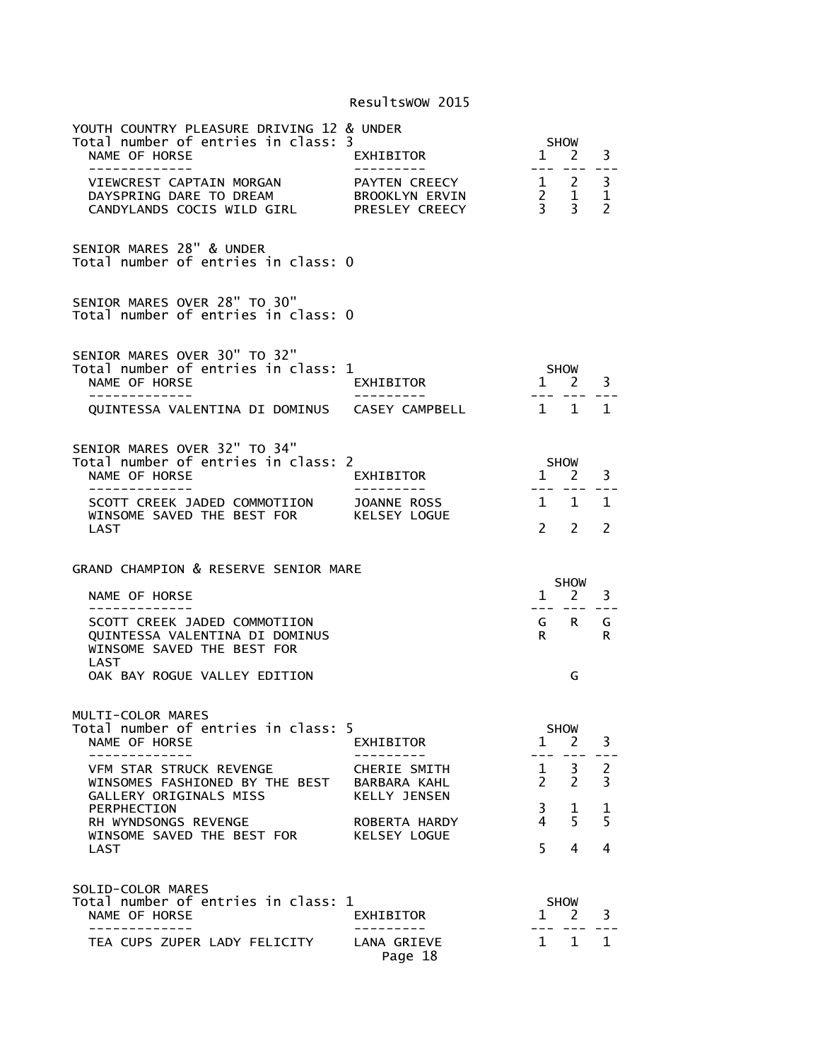| YOUTH COUNTRY PLEASURE DRIVING 12 & UNDER<br>Total number of entries in class: 3<br>NAME OF HORSE<br>-------------                                    | EXHIBITOR<br>- - - - - - - - - -                    | $\mathbf{1}$<br>$\frac{1}{2} \frac{1}{2} \frac{1}{2} \frac{1}{2} \frac{1}{2} \frac{1}{2} \frac{1}{2} \frac{1}{2} \frac{1}{2} \frac{1}{2} \frac{1}{2} \frac{1}{2} \frac{1}{2} \frac{1}{2} \frac{1}{2} \frac{1}{2} \frac{1}{2} \frac{1}{2} \frac{1}{2} \frac{1}{2} \frac{1}{2} \frac{1}{2} \frac{1}{2} \frac{1}{2} \frac{1}{2} \frac{1}{2} \frac{1}{2} \frac{1}{2} \frac{1}{2} \frac{1}{2} \frac{1}{2} \frac{$ | SHOW<br>2<br>$= - -$        | 3<br>$- -$                          |
|-------------------------------------------------------------------------------------------------------------------------------------------------------|-----------------------------------------------------|--------------------------------------------------------------------------------------------------------------------------------------------------------------------------------------------------------------------------------------------------------------------------------------------------------------------------------------------------------------------------------------------------------------|-----------------------------|-------------------------------------|
| VIEWCREST CAPTAIN MORGAN<br>DAYSPRING DARE TO DREAM<br>DATSPRING DARE TO DREAM<br>CANDYLANDS COCIS WILD GIRL                                          | PAYTEN CREECY<br>BROOKLYN ERVIN<br>PRESLEY CREECY   | $\begin{array}{cc} 2 & 1 \\ 3 & 3 \end{array}$                                                                                                                                                                                                                                                                                                                                                               | $1 \quad 2$                 | 3<br>$\mathbf{1}$<br>$\overline{2}$ |
| SENIOR MARES 28" & UNDER<br>Total number of entries in class: 0                                                                                       |                                                     |                                                                                                                                                                                                                                                                                                                                                                                                              |                             |                                     |
| SENIOR MARES OVER 28" TO 30"<br>Total number of entries in class: 0                                                                                   |                                                     |                                                                                                                                                                                                                                                                                                                                                                                                              |                             |                                     |
| SENIOR MARES OVER 30" TO 32"<br>Total number of entries in class: 1<br>NAME OF HORSE<br>------------<br>QUINTESSA VALENTINA DI DOMINUS CASEY CAMPBELL | EXHIBITOR<br>----------                             | $\mathbf{1}$                                                                                                                                                                                                                                                                                                                                                                                                 | SHOW<br>$2^{\circ}$<br>1 1  | 3<br>1                              |
|                                                                                                                                                       |                                                     |                                                                                                                                                                                                                                                                                                                                                                                                              |                             |                                     |
| SENIOR MARES OVER 32" TO 34"<br>Total number of entries in class: 2<br>NAME OF HORSE<br>-------------                                                 | EXHIBITOR                                           | $1 \quad 2$<br>$- - -$                                                                                                                                                                                                                                                                                                                                                                                       | <b>SHOW</b>                 | 3                                   |
| SCOTT CREEK JADED COMMOTIION JOANNE ROSS<br>WINSOME SAVED THE BEST FOR KELSEY LOGUE<br>LAST                                                           |                                                     | $\mathbf{1}$<br>$\mathcal{P}$                                                                                                                                                                                                                                                                                                                                                                                | $\mathbf{1}$<br>$2^{\circ}$ | $\mathbf{1}$<br>2                   |
| GRAND CHAMPION & RESERVE SENIOR MARE                                                                                                                  |                                                     |                                                                                                                                                                                                                                                                                                                                                                                                              |                             |                                     |
| NAME OF HORSE                                                                                                                                         |                                                     |                                                                                                                                                                                                                                                                                                                                                                                                              | <b>SHOW</b><br>$1 \quad 2$  | 3                                   |
| SCOTT CREEK JADED COMMOTIION<br>QUINTESSA VALENTINA DI DOMINUS<br>WINSOME SAVED THE BEST FOR<br>LAST                                                  |                                                     | R                                                                                                                                                                                                                                                                                                                                                                                                            | --- --- ---<br>G R          | G<br>R                              |
| OAK BAY ROGUE VALLEY EDITION                                                                                                                          |                                                     |                                                                                                                                                                                                                                                                                                                                                                                                              | G                           |                                     |
| MULTI-COLOR MARES                                                                                                                                     |                                                     |                                                                                                                                                                                                                                                                                                                                                                                                              |                             |                                     |
| Total number of entries in class: 5<br>NAME OF HORSE                                                                                                  | EXHIBITOR                                           | $\mathbf{1}$                                                                                                                                                                                                                                                                                                                                                                                                 | <b>SHOW</b><br>2            | 3                                   |
| _____________<br>VFM STAR STRUCK REVENGE<br>WINSOMES FASHIONED BY THE BEST<br>GALLERY ORIGINALS MISS                                                  | CHERIE SMITH<br>BARBARA KAHL<br><b>KELLY JENSEN</b> | $---$<br>1<br>2                                                                                                                                                                                                                                                                                                                                                                                              | 3<br>2                      | $\overline{c}$<br>3                 |
| PERPHECTION<br>RH WYNDSONGS REVENGE                                                                                                                   | ROBERTA HARDY                                       | 3<br>4                                                                                                                                                                                                                                                                                                                                                                                                       | ı<br>5                      | 1<br>5                              |
| WINSOME SAVED THE BEST FOR<br>LAST                                                                                                                    | KELSEY LOGUE                                        | 5                                                                                                                                                                                                                                                                                                                                                                                                            | 4                           | 4                                   |
|                                                                                                                                                       |                                                     |                                                                                                                                                                                                                                                                                                                                                                                                              |                             |                                     |
| SOLID-COLOR MARES                                                                                                                                     |                                                     |                                                                                                                                                                                                                                                                                                                                                                                                              |                             |                                     |
| Total number of entries in class: 1<br>NAME OF HORSE<br>-------------                                                                                 | EXHIBITOR<br>. _ _ _ _ _ _ _ _                      | $\mathbf{1}$                                                                                                                                                                                                                                                                                                                                                                                                 | <b>SHOW</b><br>2            | 3                                   |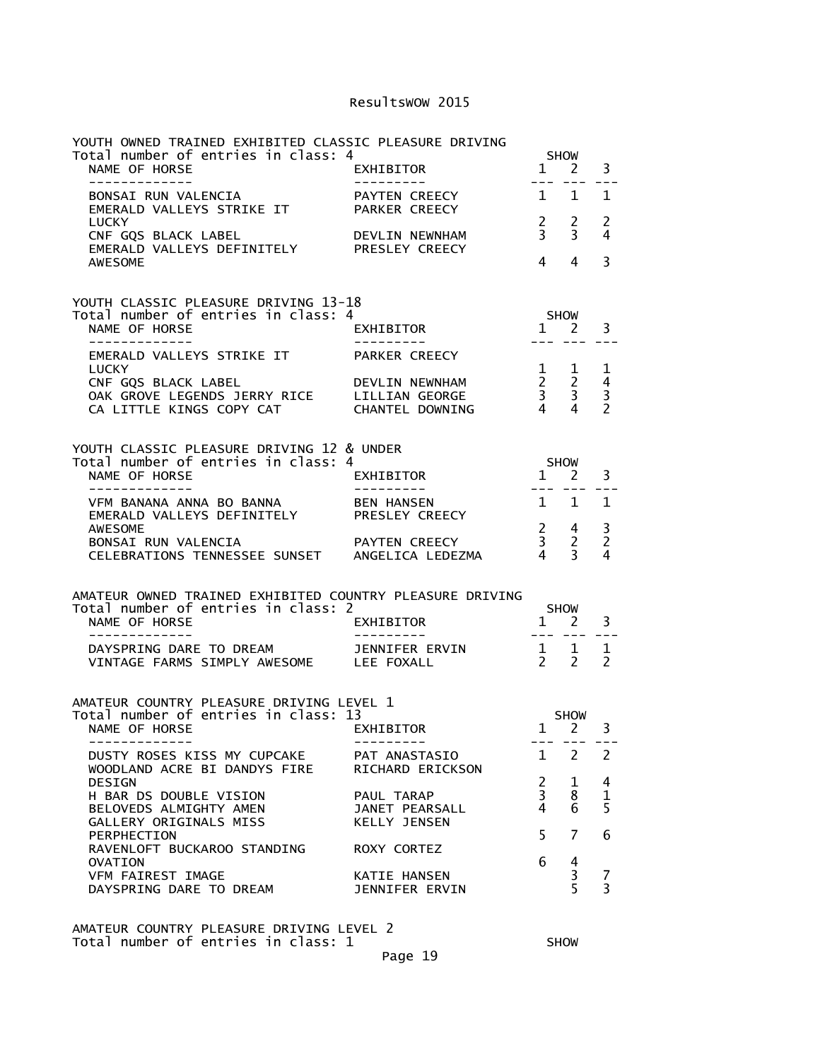| YOUTH OWNED TRAINED EXHIBITED CLASSIC PLEASURE DRIVING                                                         |                                       |                                  |                                                            |                                      |  |
|----------------------------------------------------------------------------------------------------------------|---------------------------------------|----------------------------------|------------------------------------------------------------|--------------------------------------|--|
| Total number of entries in class: 4<br>NAME OF HORSE<br>-------------                                          | EXHIBITOR<br>---------                |                                  | <b>SHOW</b><br>$1 \quad 2$                                 | 3                                    |  |
| BONSAI RUN VALENCIA<br>EMERALD VALLEYS STRIKE IT                                                               | PAYTEN CREECY<br>PARKER CREECY        | --- ---<br>$1 \quad$             | 1                                                          | $\mathbf{1}$                         |  |
| <b>LUCKY</b><br>CNF GQS BLACK LABEL                                                                            |                                       | $\frac{2}{3}$                    | $\overline{2}$<br>$\overline{3}$                           | $\overline{2}$<br>4                  |  |
| <b>AWESOME</b>                                                                                                 |                                       | 4                                | 4                                                          | 3                                    |  |
| YOUTH CLASSIC PLEASURE DRIVING 13-18                                                                           |                                       |                                  |                                                            |                                      |  |
| Total number of entries in class: 4<br>NAME OF HORSE<br>-------------                                          | EXHIBITOR                             | $1 \quad 2$                      | SHOW<br>--- --- ---                                        | 3                                    |  |
| EMERALD VALLEYS STRIKE IT<br>LUCKY                                                                             | PARKER CREECY                         | $1 \quad 1$                      |                                                            | 1                                    |  |
| CNF GQS BLACK LABEL<br>OAK GROVE LEGENDS JERRY RICE LILLIAN GEORGE<br>CA LITTLE KINGS COPY CAT CHANTEL DOWNING | DEVLIN NEWNHAM                        |                                  | $\begin{array}{ccc} 2 & 2 \\ 3 & 3 \\ 4 & 4 \end{array}$   | 4<br>$\overline{3}$<br>$\mathcal{P}$ |  |
|                                                                                                                |                                       |                                  |                                                            |                                      |  |
| YOUTH CLASSIC PLEASURE DRIVING 12 & UNDER<br>Total number of entries in class: 4                               |                                       | SHOW<br>1 2                      |                                                            |                                      |  |
| NAME OF HORSE<br>--------------                                                                                | EXHIBITOR                             |                                  | <u>--- --- ---</u>                                         | 3                                    |  |
| VFM BANANA ANNA BO BANNA BEN HANSEN<br>EMERALD VALLEYS DEFINITELY<br>AWESOME                                   | PRESLEY CREECY                        | $1 \quad 1$                      |                                                            | 1<br>3                               |  |
|                                                                                                                |                                       |                                  | $\begin{array}{ccc} 2 & 4 \\ 3 & 2 \\ 4 & 3 \end{array}$   | $\overline{2}$<br>4                  |  |
| AMATEUR OWNED TRAINED EXHIBITED COUNTRY PLEASURE DRIVING                                                       |                                       |                                  |                                                            |                                      |  |
| Total number of entries in class: 2<br>NAME OF HORSE<br>--------------                                         | EXHIBITOR<br>----------               | <b>SHOW</b>                      | $1 \quad 2$<br><u>--- --- ---</u>                          | 3                                    |  |
| DAYSPRING DARE TO DREAM JENNIFER ERVIN<br>VINTAGE FARMS SIMPLY AWESOME LEE FOXALL                              |                                       |                                  | $\begin{array}{cccc}\n1 & 1 & 1 \\ 2 & 2 & 2\n\end{array}$ |                                      |  |
| AMATEUR COUNTRY PLEASURE DRIVING LEVEL 1                                                                       |                                       |                                  |                                                            |                                      |  |
| Total number of entries in class: 13<br>NAME OF HORSE EXHIBITOR                                                |                                       |                                  | <b>SHOW</b><br>$1 \quad 2$                                 | 3                                    |  |
| DUSTY ROSES KISS MY CUPCAKE                                                                                    | PAT ANASTASIO                         |                                  | $1 \quad 2$                                                | 2                                    |  |
| WOODLAND ACRE BI DANDYS FIRE                                                                                   | RICHARD ERICKSON                      |                                  |                                                            |                                      |  |
| <b>DESIGN</b><br>H BAR DS DOUBLE VISION                                                                        | PAUL TARAP                            | $\overline{2}$<br>$\overline{3}$ | 1<br>8                                                     | 4<br>$\mathbf{1}$                    |  |
| BELOVEDS ALMIGHTY AMEN<br>GALLERY ORIGINALS MISS                                                               | JANET PEARSALL<br><b>KELLY JENSEN</b> | 4<br>5                           | 6<br>7                                                     | 5<br>6                               |  |
| PERPHECTION<br>RAVENLOFT BUCKAROO STANDING                                                                     | ROXY CORTEZ                           | 6                                |                                                            |                                      |  |
| <b>OVATION</b><br>VFM FAIREST IMAGE<br>DAYSPRING DARE TO DREAM                                                 | KATIE HANSEN<br>JENNIFER ERVIN        |                                  | 4<br>$\frac{3}{5}$                                         | 7<br>$\overline{3}$                  |  |

AMATEUR COUNTRY PLEASURE DRIVING LEVEL 2 Total number of entries in class:  $1$   $\hspace{1.6cm}$  SHOW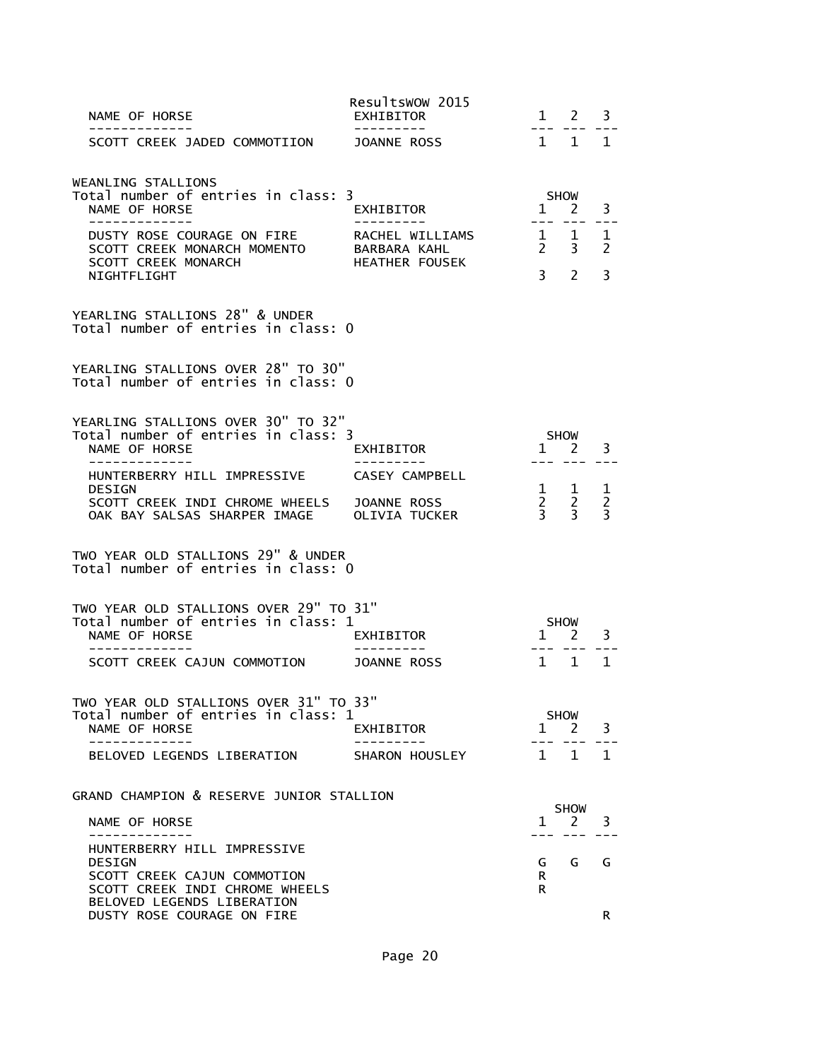| NAME OF HORSE                                                                                                  | Resultswow 2015<br>EXHIBITOR                             |                | $1 \quad 2$                                         | 3                                     |
|----------------------------------------------------------------------------------------------------------------|----------------------------------------------------------|----------------|-----------------------------------------------------|---------------------------------------|
| . <u>.</u><br>SCOTT CREEK JADED COMMOTIION                                                                     | ---------<br>JOANNE ROSS                                 |                | --- ---<br>$1 \quad 1$                              | 1                                     |
| WEANLING STALLIONS<br>Total number of entries in class: 3<br>NAME OF HORSE                                     | EXHIBITOR                                                | $\mathbf{1}$   | <b>SHOW</b><br>2                                    | 3                                     |
| -------------<br>DUSTY ROSE COURAGE ON FIRE<br>SCOTT CREEK MONARCH MOMENTO<br><b>SCOTT CREEK MONARCH</b>       | RACHEL WILLIAMS<br>BARBARA KAHL<br><b>HEATHER FOUSEK</b> |                | $1 \quad 1$<br>$2 \quad 3$                          | 1<br>2                                |
| NIGHTFLIGHT<br>YEARLING STALLIONS 28" & UNDER<br>Total number of entries in class: 0                           |                                                          | 3 <sup>7</sup> | $\mathcal{P}$                                       | 3                                     |
| YEARLING STALLIONS OVER 28" TO 30"<br>Total number of entries in class: 0                                      |                                                          |                |                                                     |                                       |
| YEARLING STALLIONS OVER 30" TO 32"<br>Total number of entries in class: 3<br>NAME OF HORSE                     | EXHIBITOR                                                | $\mathbf{1}$   | <b>SHOW</b><br>2                                    | 3                                     |
| HUNTERBERRY HILL IMPRESSIVE<br><b>DESIGN</b><br>SCOTT CREEK INDI CHROME WHEELS<br>OAK BAY SALSAS SHARPER IMAGE | CASEY CAMPBELL<br>JOANNE ROSS<br><b>OLIVIA TUCKER</b>    |                | $1 \quad 1$<br>$\begin{matrix}2&2\\3&3\end{matrix}$ | 1<br>$\overline{2}$<br>$\overline{3}$ |
| TWO YEAR OLD STALLIONS 29" & UNDER<br>Total number of entries in class: 0                                      |                                                          |                |                                                     |                                       |
| TWO YEAR OLD STALLIONS OVER 29" TO 31"<br>Total number of entries in class: 1<br>NAME OF HORSE                 | EXHIBITOR                                                | $\mathbf{1}$   | <b>SHOW</b><br>2                                    | 3                                     |
| SCOTT CREEK CAJUN COMMOTION                                                                                    | <b>JOANNE ROSS</b>                                       |                | $1 \quad 1$                                         | $\mathbf{1}$                          |
| TWO YEAR OLD STALLIONS OVER 31" TO 33"<br>Total number of entries in class: 1<br>NAME OF HORSE                 | EXHIBITOR                                                | 1              | <b>SHOW</b><br>2                                    | 3                                     |
| BELOVED LEGENDS LIBERATION                                                                                     | SHARON HOUSLEY                                           | $\mathbf{1}$   | 1                                                   | 1                                     |
| GRAND CHAMPION & RESERVE JUNIOR STALLION<br>NAME OF HORSE                                                      |                                                          | $\mathbf{1}$   | <b>SHOW</b><br>2                                    | 3                                     |
| HUNTERBERRY HILL IMPRESSIVE                                                                                    |                                                          |                |                                                     |                                       |
| <b>DESIGN</b><br>SCOTT CREEK CAJUN COMMOTION<br>SCOTT CREEK INDI CHROME WHEELS<br>BELOVED LEGENDS LIBERATION   |                                                          | G<br>R.<br>R.  | G                                                   | G                                     |
| DUSTY ROSE COURAGE ON FIRE                                                                                     |                                                          |                |                                                     | R                                     |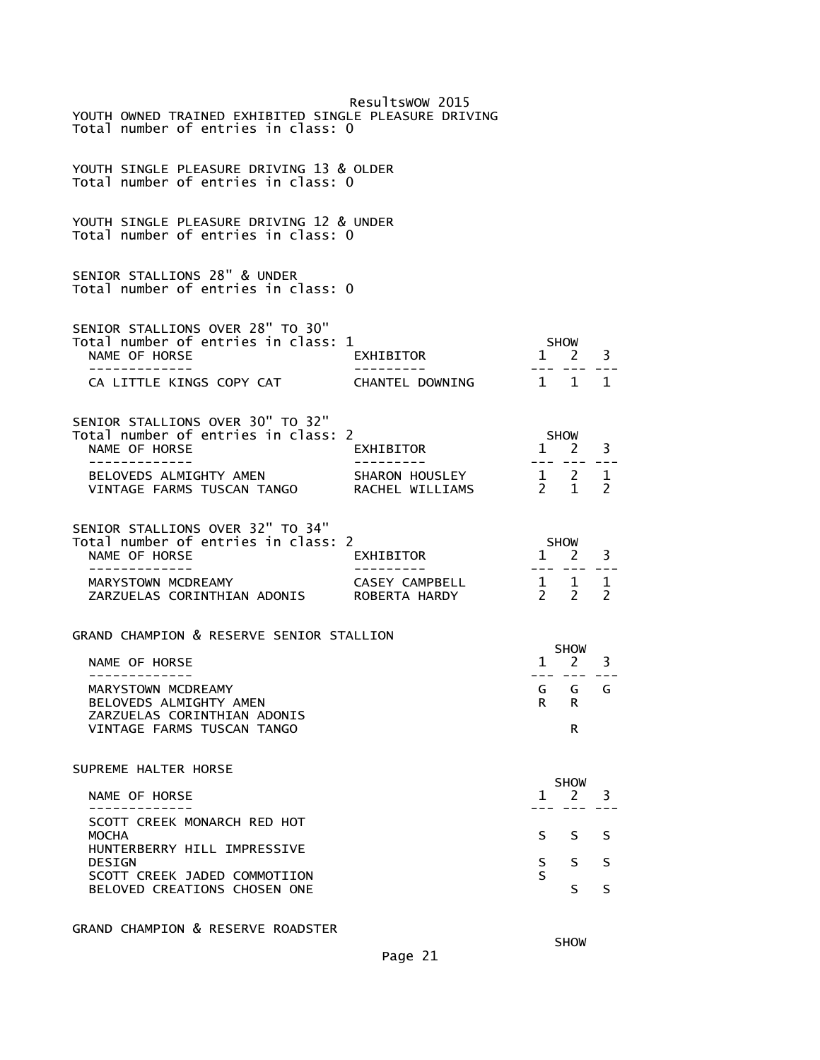| YOUTH OWNED TRAINED EXHIBITED SINGLE PLEASURE DRIVING<br>Total number of entries in class: 0                          | Resultswow 2015                   |                                                          |                                   |   |
|-----------------------------------------------------------------------------------------------------------------------|-----------------------------------|----------------------------------------------------------|-----------------------------------|---|
| YOUTH SINGLE PLEASURE DRIVING 13 & OLDER<br>Total number of entries in class: 0                                       |                                   |                                                          |                                   |   |
| YOUTH SINGLE PLEASURE DRIVING 12 & UNDER<br>Total number of entries in class: 0                                       |                                   |                                                          |                                   |   |
| SENIOR STALLIONS 28" & UNDER<br>Total number of entries in class: 0                                                   |                                   |                                                          |                                   |   |
| SENIOR STALLIONS OVER 28" TO 30"<br>Total number of entries in class: 1<br>NAME OF HORSE<br>-------------             | EXHIBITOR                         | $\overline{1}$                                           | SHOW<br><sup>2</sup>              | 3 |
| CA LITTLE KINGS COPY CAT                                                                                              | CHANTEL DOWNING                   | 1 1 1                                                    |                                   |   |
| SENIOR STALLIONS OVER 30" TO 32"<br>Total number of entries in class: 2<br>NAME OF HORSE<br>- - - - - - - - - - - - - | EXHIBITOR                         | ---- ---                                                 | SHOW<br>$1 \overline{2}$          | 3 |
| BELOVEDS ALMIGHTY AMEN<br>VINTAGE FARMS TUSCAN TANGO                                                                  | SHARON HOUSLEY<br>RACHEL WILLIAMS | $\begin{array}{cccc} 1 & 2 & 1 \\ 2 & 1 & 2 \end{array}$ |                                   |   |
| SENIOR STALLIONS OVER 32" TO 34"<br>Total number of entries in class: 2<br>NAME OF HORSE<br>-----------               | EXHIBITOR                         |                                                          | SHOW<br>$1 \quad 2$<br>--- --- -- | 3 |
| MARYSTOWN MCDREAMY<br>ZARZUELAS CORINTHIAN ADONIS ROBERTA HARDY                                                       | CASEY CAMPBELL                    | $\begin{array}{cccc} 1 & 1 & 1 \\ 2 & 2 & 2 \end{array}$ |                                   |   |
| GRAND CHAMPION & RESERVE SENIOR STALLION                                                                              |                                   |                                                          | SHOW                              |   |
| NAME OF HORSE                                                                                                         |                                   |                                                          | $1 \quad 2$                       | 3 |
| ____________<br>MARYSTOWN MCDREAMY                                                                                    |                                   |                                                          | --- --- ---                       |   |
| BELOVEDS ALMIGHTY AMEN                                                                                                |                                   | R                                                        | G G G<br>R                        |   |
| ZARZUELAS CORINTHIAN ADONIS<br>VINTAGE FARMS TUSCAN TANGO                                                             |                                   |                                                          | R                                 |   |
| SUPREME HALTER HORSE                                                                                                  |                                   |                                                          |                                   |   |
| NAME OF HORSE                                                                                                         |                                   | $\mathbf{1}$                                             | <b>SHOW</b><br>2                  | 3 |
| SCOTT CREEK MONARCH RED HOT<br><b>MOCHA</b>                                                                           |                                   | S.                                                       | S                                 | S |
| HUNTERBERRY HILL IMPRESSIVE<br><b>DESIGN</b><br>SCOTT CREEK JADED COMMOTIION                                          |                                   | S<br>S                                                   | S                                 | S |

GRAND CHAMPION & RESERVE ROADSTER

**SHOW SHOW**